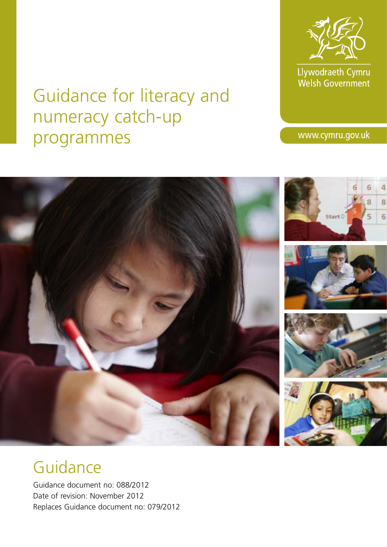

Llywodraeth Cymru<br>Welsh Government

# Guidance for literacy and numeracy catch-up programmes

www.cymru.gov.uk



# Guidance

Guidance document no: 088/2012 Date of revision: November 2012 Replaces Guidance document no: 079/2012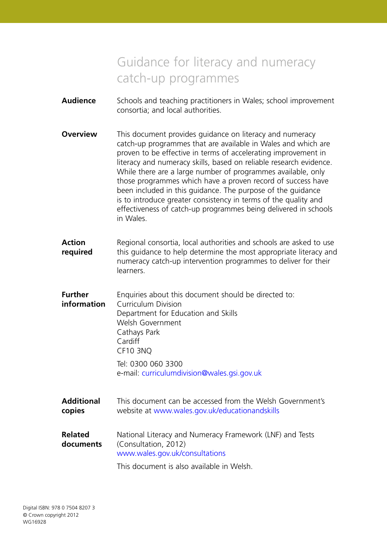# Guidance for literacy and numeracy catch-up programmes

- **Audience** Schools and teaching practitioners in Wales; school improvement consortia; and local authorities.
- **Overview** This document provides quidance on literacy and numeracy catch-up programmes that are available in Wales and which are proven to be effective in terms of accelerating improvement in literacy and numeracy skills, based on reliable research evidence. While there are a large number of programmes available, only those programmes which have a proven record of success have been included in this guidance. The purpose of the guidance is to introduce greater consistency in terms of the quality and effectiveness of catch-up programmes being delivered in schools in Wales.
- **Action** Regional consortia, local authorities and schools are asked to use **required** this guidance to help determine the most appropriate literacy and numeracy catch-up intervention programmes to deliver for their learners.
- **Further** Enquiries about this document should be directed to: **information** Curriculum Division Department for Education and Skills Welsh Government Cathays Park Cardiff CF10 3NQ Tel: 0300 060 3300 e-mail: curriculumdivision@wales.gsi.gov.uk
- **Additional** This document can be accessed from the Welsh Government's **copies** website at www.wales.gov.uk/educationandskills
- **Related** National Literacy and Numeracy Framework (LNF) and Tests **documents** (Consultation, 2012) www.wales.gov.uk/consultations

This document is also available in Welsh.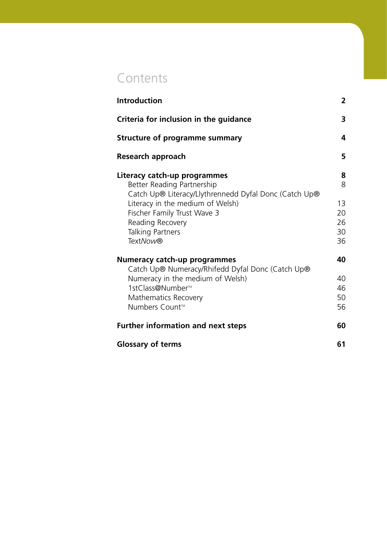# **Contents**

| <b>Introduction</b>                                                                                                 | $\overline{2}$ |
|---------------------------------------------------------------------------------------------------------------------|----------------|
| Criteria for inclusion in the guidance                                                                              | 3              |
| Structure of programme summary                                                                                      | 4              |
| Research approach                                                                                                   | 5              |
| Literacy catch-up programmes<br>Better Reading Partnership<br>Catch Up® Literacy/Llythrennedd Dyfal Donc (Catch Up® | 8<br>8         |
| Literacy in the medium of Welsh)                                                                                    | 13             |
| Fischer Family Trust Wave 3<br>Reading Recovery                                                                     | 20<br>26       |
| <b>Talking Partners</b>                                                                                             | 30             |
| <b>TextNow®</b>                                                                                                     | 36             |
| Numeracy catch-up programmes<br>Catch Up® Numeracy/Rhifedd Dyfal Donc (Catch Up®                                    | 40             |
| Numeracy in the medium of Welsh)                                                                                    | 40             |
| 1stClass@Number <sup>™</sup>                                                                                        | 46<br>50       |
| Mathematics Recovery<br>Numbers Count <sup>™</sup>                                                                  | 56             |
| <b>Further information and next steps</b>                                                                           | 60             |
| <b>Glossary of terms</b>                                                                                            | 61             |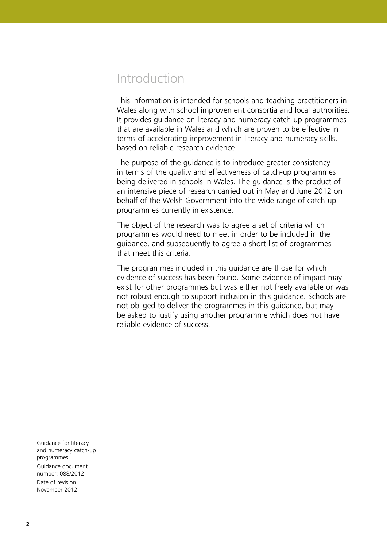# Introduction

This information is intended for schools and teaching practitioners in Wales along with school improvement consortia and local authorities. It provides guidance on literacy and numeracy catch-up programmes that are available in Wales and which are proven to be effective in terms of accelerating improvement in literacy and numeracy skills, based on reliable research evidence.

The purpose of the guidance is to introduce greater consistency in terms of the quality and effectiveness of catch-up programmes being delivered in schools in Wales. The guidance is the product of an intensive piece of research carried out in May and June 2012 on behalf of the Welsh Government into the wide range of catch-up programmes currently in existence.

The object of the research was to agree a set of criteria which programmes would need to meet in order to be included in the guidance, and subsequently to agree a short-list of programmes that meet this criteria.

The programmes included in this guidance are those for which evidence of success has been found. Some evidence of impact may exist for other programmes but was either not freely available or was not robust enough to support inclusion in this guidance. Schools are not obliged to deliver the programmes in this guidance, but may be asked to justify using another programme which does not have reliable evidence of success.

Guidance for literacy and numeracy catch-up programmes Guidance document number: 088/2012 Date of revision:

November 2012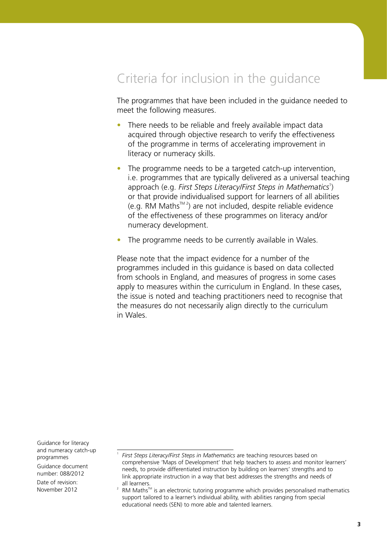# Criteria for inclusion in the guidance

The programmes that have been included in the guidance needed to meet the following measures.

- There needs to be reliable and freely available impact data acquired through objective research to verify the effectiveness of the programme in terms of accelerating improvement in literacy or numeracy skills.
- The programme needs to be a targeted catch-up intervention, i.e. programmes that are typically delivered as a universal teaching approach (e.g. First Steps Literacy/First Steps in Mathematics<sup>1</sup>) or that provide individualised support for learners of all abilities  $(e.g. RM Maths<sup>TM 2</sup>)$  are not included, despite reliable evidence of the effectiveness of these programmes on literacy and/or numeracy development.
- The programme needs to be currently available in Wales.

Please note that the impact evidence for a number of the programmes included in this guidance is based on data collected from schools in England, and measures of progress in some cases apply to measures within the curriculum in England. In these cases, the issue is noted and teaching practitioners need to recognise that the measures do not necessarily align directly to the curriculum in Wales.

Guidance for literacy and numeracy catch-up programmes

1

Guidance document number: 088/2012

*First Steps Literacy/First Steps in Mathematics* are teaching resources based on comprehensive 'Maps of Development' that help teachers to assess and monitor learners' needs, to provide differentiated instruction by building on learners' strengths and to link appropriate instruction in a way that best addresses the strengths and needs of all learners.

<sup>2</sup> RM Maths™ is an electronic tutoring programme which provides personalised mathematics support tailored to a learner's individual ability, with abilities ranging from special educational needs (SEN) to more able and talented learners.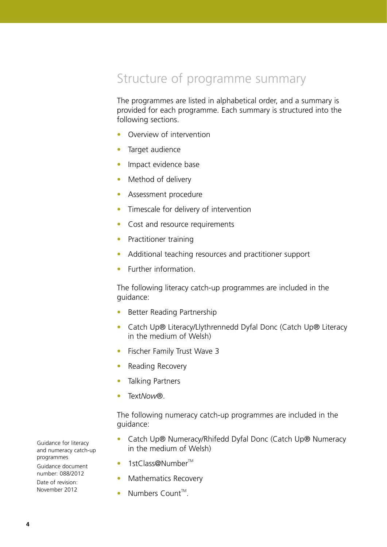# Structure of programme summary

The programmes are listed in alphabetical order, and a summary is provided for each programme. Each summary is structured into the following sections.

- Overview of intervention
- Target audience
- Impact evidence base
- Method of delivery
- Assessment procedure
- Timescale for delivery of intervention
- Cost and resource requirements
- Practitioner training
- Additional teaching resources and practitioner support
- Further information.

The following literacy catch-up programmes are included in the guidance:

- Better Reading Partnership
- Catch Up® Literacy/Llythrennedd Dyfal Donc (Catch Up® Literacy in the medium of Welsh)
- Fischer Family Trust Wave 3
- Reading Recovery
- Talking Partners
- Text*Now*®.

The following numeracy catch-up programmes are included in the guidance:

- Catch Up® Numeracy/Rhifedd Dyfal Donc (Catch Up® Numeracy in the medium of Welsh)
- 1stClass@Number™
- Mathematics Recovery
- Numbers Count<sup>™</sup>.

Guidance for literacy and numeracy catch-up programmes Guidance document number: 088/2012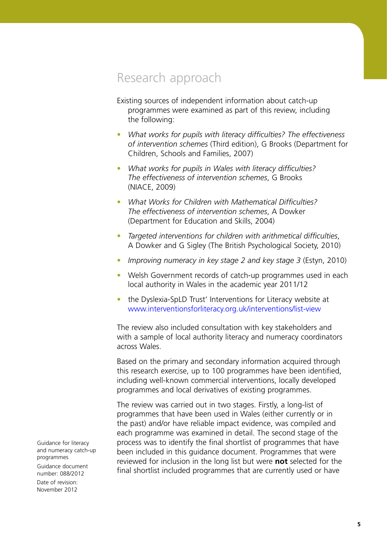# Research approach

Existing sources of independent information about catch-up programmes were examined as part of this review, including the following:

- *What works for pupils with literacy difficulties? The effectiveness of intervention schemes* (Third edition), G Brooks (Department for Children, Schools and Families, 2007)
- *What works for pupils in Wales with literacy difficulties? The effectiveness of intervention schemes*, G Brooks (NIACE, 2009)
- *What Works for Children with Mathematical Difficulties? The effectiveness of intervention schemes*, A Dowker (Department for Education and Skills, 2004)
- *Targeted interventions for children with arithmetical difficulties*, A Dowker and G Sigley (The British Psychological Society, 2010)
- *Improving numeracy in key stage 2 and key stage 3* (Estyn, 2010)
- Welsh Government records of catch-up programmes used in each local authority in Wales in the academic year 2011/12
- the Dyslexia-SpLD Trust' Interventions for Literacy website at <www.interventionsforliteracy.org.uk/interventions/list-view>

The review also included consultation with key stakeholders and with a sample of local authority literacy and numeracy coordinators across Wales.

Based on the primary and secondary information acquired through this research exercise, up to 100 programmes have been identified, including well-known commercial interventions, locally developed programmes and local derivatives of existing programmes.

The review was carried out in two stages. Firstly, a long-list of programmes that have been used in Wales (either currently or in the past) and/or have reliable impact evidence, was compiled and each programme was examined in detail. The second stage of the process was to identify the final shortlist of programmes that have been included in this guidance document. Programmes that were reviewed for inclusion in the long list but were **not** selected for the final shortlist included programmes that are currently used or have

Guidance for literacy and numeracy catch-up programmes Guidance document number: 088/2012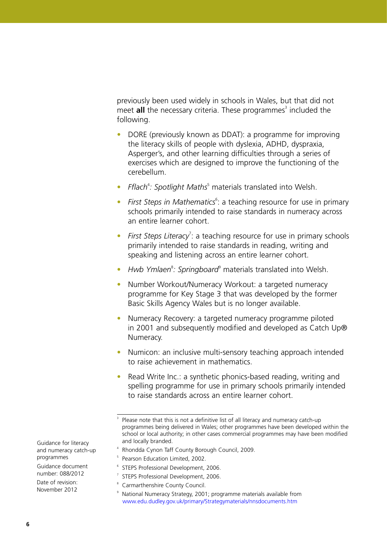previously been used widely in schools in Wales, but that did not meet **all** the necessary criteria. These programmes<sup>3</sup> included the following.

- DORE (previously known as DDAT): a programme for improving the literacy skills of people with dyslexia, ADHD, dyspraxia, Asperger's, and other learning difficulties through a series of exercises which are designed to improve the functioning of the cerebellum.
- Fflach<sup>4</sup>: Spotlight Maths<sup>5</sup> materials translated into Welsh.
- First Steps in Mathematics<sup>6</sup>: a teaching resource for use in primary schools primarily intended to raise standards in numeracy across an entire learner cohort.
- First Steps Literacy<sup>7</sup>: a teaching resource for use in primary schools primarily intended to raise standards in reading, writing and speaking and listening across an entire learner cohort.
- Hwb Ymlaen<sup>8</sup>: Springboard<sup>9</sup> materials translated into Welsh.
- Number Workout/Numeracy Workout: a targeted numeracy programme for Key Stage 3 that was developed by the former Basic Skills Agency Wales but is no longer available.
- Numeracy Recovery: a targeted numeracy programme piloted in 2001 and subsequently modified and developed as Catch Up® Numeracy.
- Numicon: an inclusive multi-sensory teaching approach intended to raise achievement in mathematics.
- Read Write Inc.: a synthetic phonics-based reading, writing and spelling programme for use in primary schools primarily intended to raise standards across an entire learner cohort.

- 4 Rhondda Cynon Taff County Borough Council, 2009.
- 5 Pearson Education Limited, 2002.
- 6 STEPS Professional Development, 2006.
- 7 STEPS Professional Development, 2006.
- 8 Carmarthenshire County Council.
- 9 National Numeracy Strategy, 2001; programme materials available from www.edu.dudley.gov.uk/primary/Strategymaterials/nnsdocuments.htm

Guidance for literacy and numeracy catch-up programmes

Guidance document number: 088/2012

<sup>3</sup> Please note that this is not a definitive list of all literacy and numeracy catch-up programmes being delivered in Wales; other programmes have been developed within the school or local authority; in other cases commercial programmes may have been modified and locally branded.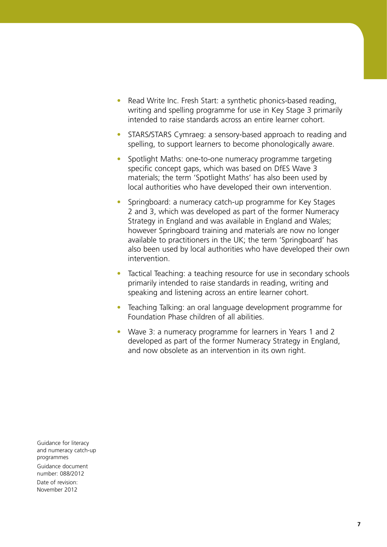- Read Write Inc. Fresh Start: a synthetic phonics-based reading, writing and spelling programme for use in Key Stage 3 primarily intended to raise standards across an entire learner cohort.
- STARS/STARS Cymraeg: a sensory-based approach to reading and spelling, to support learners to become phonologically aware.
- Spotlight Maths: one-to-one numeracy programme targeting specific concept gaps, which was based on DfES Wave 3 materials; the term 'Spotlight Maths' has also been used by local authorities who have developed their own intervention.
- Springboard: a numeracy catch-up programme for Key Stages 2 and 3, which was developed as part of the former Numeracy Strategy in England and was available in England and Wales; however Springboard training and materials are now no longer available to practitioners in the UK; the term 'Springboard' has also been used by local authorities who have developed their own intervention.
- Tactical Teaching: a teaching resource for use in secondary schools primarily intended to raise standards in reading, writing and speaking and listening across an entire learner cohort.
- Teaching Talking: an oral language development programme for Foundation Phase children of all abilities.
- Wave 3: a numeracy programme for learners in Years 1 and 2 developed as part of the former Numeracy Strategy in England, and now obsolete as an intervention in its own right.

Guidance for literacy and numeracy catch-up programmes Guidance document number: 088/2012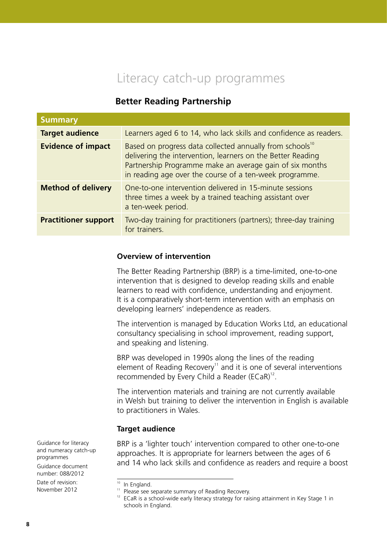# Literacy catch-up programmes

# **Better Reading Partnership**

| <b>Summary</b>              |                                                                                                                                                                                                                                                            |
|-----------------------------|------------------------------------------------------------------------------------------------------------------------------------------------------------------------------------------------------------------------------------------------------------|
| <b>Target audience</b>      | Learners aged 6 to 14, who lack skills and confidence as readers.                                                                                                                                                                                          |
| <b>Evidence of impact</b>   | Based on progress data collected annually from schools <sup>10</sup><br>delivering the intervention, learners on the Better Reading<br>Partnership Programme make an average gain of six months<br>in reading age over the course of a ten-week programme. |
| <b>Method of delivery</b>   | One-to-one intervention delivered in 15-minute sessions<br>three times a week by a trained teaching assistant over<br>a ten-week period.                                                                                                                   |
| <b>Practitioner support</b> | Two-day training for practitioners (partners); three-day training<br>for trainers.                                                                                                                                                                         |

#### **Overview of intervention**

The Better Reading Partnership (BRP) is a time-limited, one-to-one intervention that is designed to develop reading skills and enable learners to read with confidence, understanding and enjoyment. It is a comparatively short-term intervention with an emphasis on developing learners' independence as readers.

The intervention is managed by Education Works Ltd, an educational consultancy specialising in school improvement, reading support, and speaking and listening.

BRP was developed in 1990s along the lines of the reading element of Reading Recovery<sup>11</sup> and it is one of several interventions recommended by Every Child a Reader (ECaR)<sup>12</sup>.

The intervention materials and training are not currently available in Welsh but training to deliver the intervention in English is available to practitioners in Wales.

#### **Target audience**

BRP is a 'lighter touch' intervention compared to other one-to-one approaches. It is appropriate for learners between the ages of 6 and 14 who lack skills and confidence as readers and require a boost

Guidance for literacy and numeracy catch-up programmes Guidance document

number: 088/2012 Date of revision:

November 2012

<sup>&</sup>lt;sup>10</sup> In England.

<sup>&</sup>lt;sup>11</sup> Please see separate summary of Reading Recovery.

 $12$  ECaR is a school-wide early literacy strategy for raising attainment in Key Stage 1 in schools in England.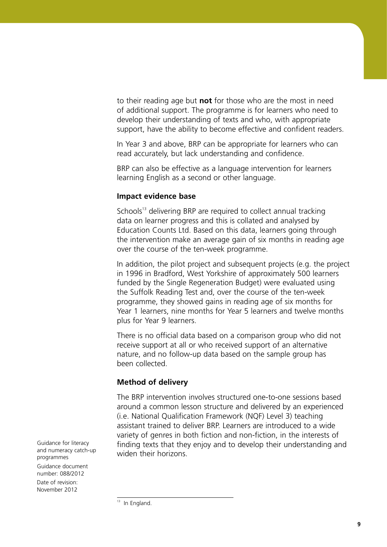to their reading age but **not** for those who are the most in need of additional support. The programme is for learners who need to develop their understanding of texts and who, with appropriate support, have the ability to become effective and confident readers.

In Year 3 and above, BRP can be appropriate for learners who can read accurately, but lack understanding and confidence.

BRP can also be effective as a language intervention for learners learning English as a second or other language.

#### **Impact evidence base**

Schools<sup>13</sup> delivering BRP are required to collect annual tracking data on learner progress and this is collated and analysed by Education Counts Ltd. Based on this data, learners going through the intervention make an average gain of six months in reading age over the course of the ten-week programme.

In addition, the pilot project and subsequent projects (e.g. the project in 1996 in Bradford, West Yorkshire of approximately 500 learners funded by the Single Regeneration Budget) were evaluated using the Suffolk Reading Test and, over the course of the ten-week programme, they showed gains in reading age of six months for Year 1 learners, nine months for Year 5 learners and twelve months plus for Year 9 learners.

There is no official data based on a comparison group who did not receive support at all or who received support of an alternative nature, and no follow-up data based on the sample group has been collected.

#### **Method of delivery**

The BRP intervention involves structured one-to-one sessions based around a common lesson structure and delivered by an experienced (i.e. National Qualification Framework (NQF) Level 3) teaching assistant trained to deliver BRP. Learners are introduced to a wide variety of genres in both fiction and non-fiction, in the interests of finding texts that they enjoy and to develop their understanding and widen their horizons.

Guidance for literacy and numeracy catch-up programmes Guidance document

number: 088/2012 Date of revision: November 2012

 $13$  In England.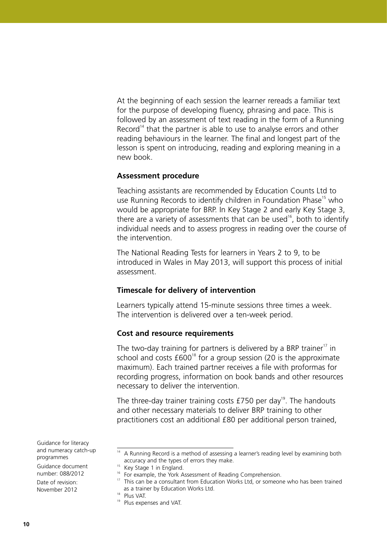At the beginning of each session the learner rereads a familiar text for the purpose of developing fluency, phrasing and pace. This is followed by an assessment of text reading in the form of a Running Record<sup>14</sup> that the partner is able to use to analyse errors and other reading behaviours in the learner. The final and longest part of the lesson is spent on introducing, reading and exploring meaning in a new book.

#### **Assessment procedure**

Teaching assistants are recommended by Education Counts Ltd to use Running Records to identify children in Foundation Phase<sup>15</sup> who would be appropriate for BRP. In Key Stage 2 and early Key Stage 3, there are a variety of assessments that can be used<sup>16</sup>, both to identify individual needs and to assess progress in reading over the course of the intervention.

The National Reading Tests for learners in Years 2 to 9, to be introduced in Wales in May 2013, will support this process of initial assessment.

#### **Timescale for delivery of intervention**

Learners typically attend 15-minute sessions three times a week. The intervention is delivered over a ten-week period.

#### **Cost and resource requirements**

The two-day training for partners is delivered by a BRP trainer $17$  in school and costs  $£600^{18}$  for a group session (20 is the approximate maximum). Each trained partner receives a file with proformas for recording progress, information on book bands and other resources necessary to deliver the intervention.

The three-day trainer training costs  $£750$  per day<sup>19</sup>. The handouts and other necessary materials to deliver BRP training to other practitioners cost an additional £80 per additional person trained,

Guidance for literacy and numeracy catch-up programmes

Guidance document number: 088/2012

<sup>&</sup>lt;sup>14</sup> A Running Record is a method of assessing a learner's reading level by examining both accuracy and the types of errors they make.

<sup>&</sup>lt;sup>15</sup> Key Stage 1 in England.

<sup>&</sup>lt;sup>16</sup> For example, the York Assessment of Reading Comprehension.<br><sup>17</sup> This can be a sonsultant from Education Morks Ltd. or someon

<sup>&</sup>lt;sup>17</sup> This can be a consultant from Education Works Ltd, or someone who has been trained as a trainer by Education Works Ltd.

<sup>18</sup> Plus VAT.

<sup>&</sup>lt;sup>19</sup> Plus expenses and VAT.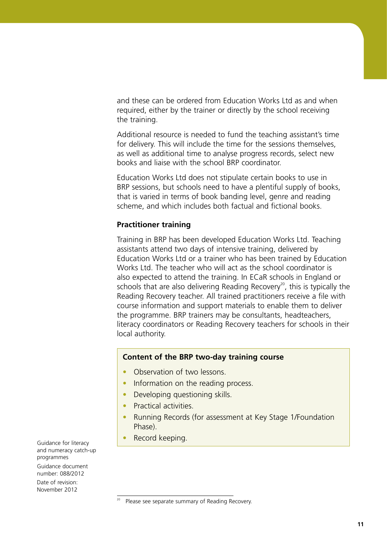and these can be ordered from Education Works Ltd as and when required, either by the trainer or directly by the school receiving the training.

Additional resource is needed to fund the teaching assistant's time for delivery. This will include the time for the sessions themselves, as well as additional time to analyse progress records, select new books and liaise with the school BRP coordinator.

Education Works Ltd does not stipulate certain books to use in BRP sessions, but schools need to have a plentiful supply of books, that is varied in terms of book banding level, genre and reading scheme, and which includes both factual and fictional books.

#### **Practitioner training**

Training in BRP has been developed Education Works Ltd. Teaching assistants attend two days of intensive training, delivered by Education Works Ltd or a trainer who has been trained by Education Works Ltd. The teacher who will act as the school coordinator is also expected to attend the training. In ECaR schools in England or schools that are also delivering Reading Recovery<sup>20</sup>, this is typically the Reading Recovery teacher. All trained practitioners receive a file with course information and support materials to enable them to deliver the programme. BRP trainers may be consultants, headteachers, literacy coordinators or Reading Recovery teachers for schools in their local authority.

#### **Content of the BRP two-day training course**

- Observation of two lessons.
- Information on the reading process.
- Developing questioning skills.
- Practical activities.
- Running Records (for assessment at Key Stage 1/Foundation Phase).
- Record keeping.

Guidance for literacy and numeracy catch-up programmes Guidance document

number: 088/2012

<sup>20</sup> Please see separate summary of Reading Recovery.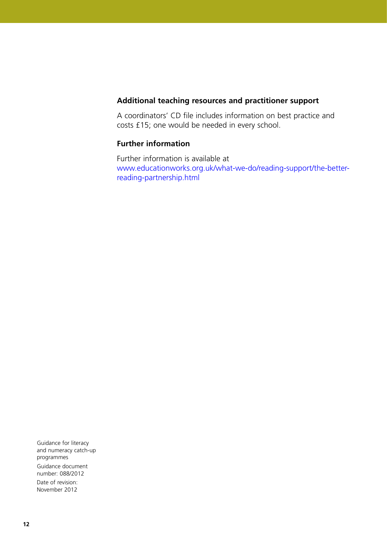#### **Additional teaching resources and practitioner support**

A coordinators' CD file includes information on best practice and costs £15; one would be needed in every school.

### **Further information**

Further information is available at [www.educationworks.org.uk/what-we-do/reading-support/the-better](www.educationworks.org.uk/what-we-do/reading-support/the-better-reading-partnership.html)[reading-partnership.html](www.educationworks.org.uk/what-we-do/reading-support/the-better-reading-partnership.html)

Guidance for literacy and numeracy catch-up programmes Guidance document number: 088/2012 Date of revision:

November 2012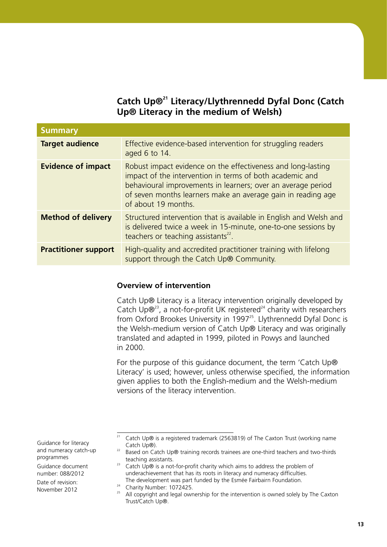# **Catch Up®21 Literacy/Llythrennedd Dyfal Donc (Catch Up® Literacy in the medium of Welsh)**

| <b>Summary</b>              |                                                                                                                                                                                                                                                                                 |
|-----------------------------|---------------------------------------------------------------------------------------------------------------------------------------------------------------------------------------------------------------------------------------------------------------------------------|
| <b>Target audience</b>      | Effective evidence-based intervention for struggling readers<br>aged 6 to 14.                                                                                                                                                                                                   |
| <b>Evidence of impact</b>   | Robust impact evidence on the effectiveness and long-lasting<br>impact of the intervention in terms of both academic and<br>behavioural improvements in learners; over an average period<br>of seven months learners make an average gain in reading age<br>of about 19 months. |
| <b>Method of delivery</b>   | Structured intervention that is available in English and Welsh and<br>is delivered twice a week in 15-minute, one-to-one sessions by<br>teachers or teaching assistants <sup>22</sup> .                                                                                         |
| <b>Practitioner support</b> | High-quality and accredited practitioner training with lifelong<br>support through the Catch Up® Community.                                                                                                                                                                     |

#### **Overview of intervention**

Catch Up® Literacy is a literacy intervention originally developed by Catch Up $\mathbb{R}^{23}$ , a not-for-profit UK registered<sup>24</sup> charity with researchers from Oxford Brookes University in 1997<sup>25</sup>. Llythrennedd Dyfal Donc is the Welsh-medium version of Catch Up® Literacy and was originally translated and adapted in 1999, piloted in Powys and launched in 2000.

For the purpose of this guidance document, the term 'Catch Up® Literacy' is used; however, unless otherwise specified, the information given applies to both the English-medium and the Welsh-medium versions of the literacy intervention.

Guidance for literacy and numeracy catch-up programmes

Guidance document number: 088/2012

<sup>&</sup>lt;sup>21</sup> Catch Up® is a registered trademark (2563819) of The Caxton Trust (working name Catch Up®).

<sup>&</sup>lt;sup>22</sup> Based on Catch Up® training records trainees are one-third teachers and two-thirds teaching assistants.

<sup>&</sup>lt;sup>23</sup> Catch Up $\odot$  is a not-for-profit charity which aims to address the problem of underachievement that has its roots in literacy and numeracy difficulties. The development was part funded by the Esmée Fairbairn Foundation.

<sup>&</sup>lt;sup>24</sup> Charity Number: 1072425.

<sup>&</sup>lt;sup>25</sup> All copyright and legal ownership for the intervention is owned solely by The Caxton Trust/Catch Up®.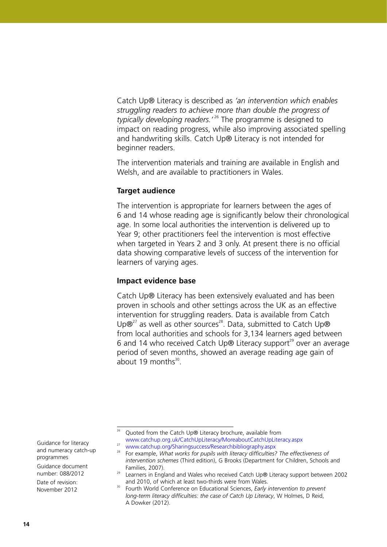Catch Up® Literacy is described as *'an intervention which enables struggling readers to achieve more than double the progress of typically developing readers.'* 26 The programme is designed to impact on reading progress, while also improving associated spelling and handwriting skills. Catch Up® Literacy is not intended for beginner readers.

The intervention materials and training are available in English and Welsh, and are available to practitioners in Wales.

#### **Target audience**

The intervention is appropriate for learners between the ages of 6 and 14 whose reading age is significantly below their chronological age. In some local authorities the intervention is delivered up to Year 9; other practitioners feel the intervention is most effective when targeted in Years 2 and 3 only. At present there is no official data showing comparative levels of success of the intervention for learners of varying ages.

#### **Impact evidence base**

Catch Up® Literacy has been extensively evaluated and has been proven in schools and other settings across the UK as an effective intervention for struggling readers. Data is available from Catch Up $\mathbb{B}^{27}$  as well as other sources<sup>28</sup>. Data, submitted to Catch Up $\mathbb{B}$ from local authorities and schools for 3,134 learners aged between 6 and 14 who received Catch Up $\odot$  Literacy support<sup>29</sup> over an average period of seven months, showed an average reading age gain of about 19 months $30$ .

Guidance for literacy and numeracy catch-up programmes

Guidance document number: 088/2012

<sup>26</sup> Quoted from the Catch Up® Literacy brochure, available from <www.catchup.org.uk/CatchUpLiteracy/MoreaboutCatchUpLiteracy.aspx>

<sup>27</sup> <www.catchup.org/Sharingsuccess/Researchbibliography.aspx>

<sup>&</sup>lt;sup>28</sup> For example, *What works for pupils with literacy difficulties? The effectiveness of intervention schemes* (Third edition), G Brooks (Department for Children, Schools and Families, 2007).

<sup>&</sup>lt;sup>29</sup> Learners in England and Wales who received Catch Up® Literacy support between 2002 and 2010, of which at least two-thirds were from Wales.

<sup>30</sup> Fourth World Conference on Educational Sciences, *Early intervention to prevent long-term literacy difficulties: the case of Catch Up Literacy*, W Holmes, D Reid, A Dowker (2012).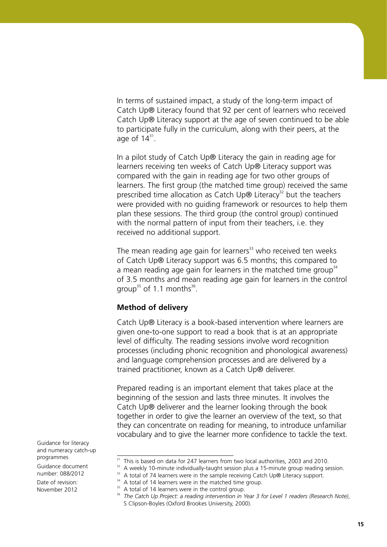In terms of sustained impact, a study of the long-term impact of Catch Up® Literacy found that 92 per cent of learners who received Catch Up® Literacy support at the age of seven continued to be able to participate fully in the curriculum, along with their peers, at the age of  $14^{31}$ .

In a pilot study of Catch Up® Literacy the gain in reading age for learners receiving ten weeks of Catch Up® Literacy support was compared with the gain in reading age for two other groups of learners. The first group (the matched time group) received the same prescribed time allocation as Catch Up $\odot$  Literacy<sup>32</sup> but the teachers were provided with no guiding framework or resources to help them plan these sessions. The third group (the control group) continued with the normal pattern of input from their teachers, i.e. they received no additional support.

The mean reading age gain for learners<sup>33</sup> who received ten weeks of Catch Up® Literacy support was 6.5 months; this compared to a mean reading age gain for learners in the matched time group<sup>34</sup> of 3.5 months and mean reading age gain for learners in the control group<sup>35</sup> of 1.1 months<sup>36</sup>.

#### **Method of delivery**

Catch Up® Literacy is a book-based intervention where learners are given one-to-one support to read a book that is at an appropriate level of difficulty. The reading sessions involve word recognition processes (including phonic recognition and phonological awareness) and language comprehension processes and are delivered by a trained practitioner, known as a Catch Up® deliverer.

Prepared reading is an important element that takes place at the beginning of the session and lasts three minutes. It involves the Catch Up® deliverer and the learner looking through the book together in order to give the learner an overview of the text, so that they can concentrate on reading for meaning, to introduce unfamiliar vocabulary and to give the learner more confidence to tackle the text.

Guidance for literacy and numeracy catch-up programmes

Guidance document number: 088/2012

<sup>&</sup>lt;sup>31</sup> This is based on data for 247 learners from two local authorities, 2003 and 2010.

 $32$  A weekly 10-minute individually-taught session plus a 15-minute group reading session.

 $33$  A total of 74 learners were in the sample receiving Catch Up® Literacy support.

<sup>&</sup>lt;sup>34</sup> A total of 14 learners were in the matched time group.

<sup>&</sup>lt;sup>35</sup> A total of 14 learners were in the control group.

<sup>36</sup> *The Catch Up Project: a reading intervention in Year 3 for Level 1 readers (Research Note)*, S Clipson-Boyles (Oxford Brookes University, 2000).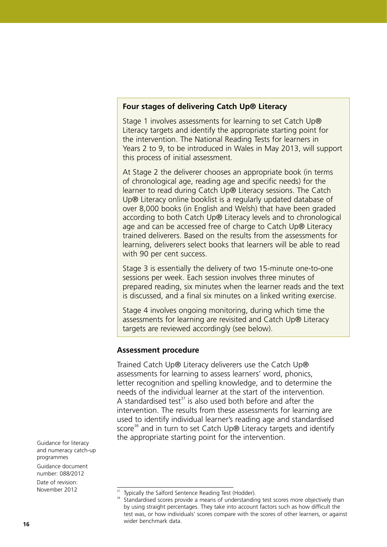#### **Four stages of delivering Catch Up® Literacy**

Stage 1 involves assessments for learning to set Catch Up® Literacy targets and identify the appropriate starting point for the intervention. The National Reading Tests for learners in Years 2 to 9, to be introduced in Wales in May 2013, will support this process of initial assessment.

At Stage 2 the deliverer chooses an appropriate book (in terms of chronological age, reading age and specific needs) for the learner to read during Catch Up® Literacy sessions. The Catch Up® Literacy online booklist is a regularly updated database of over 8,000 books (in English and Welsh) that have been graded according to both Catch Up® Literacy levels and to chronological age and can be accessed free of charge to Catch Up® Literacy trained deliverers. Based on the results from the assessments for learning, deliverers select books that learners will be able to read with 90 per cent success.

Stage 3 is essentially the delivery of two 15-minute one-to-one sessions per week. Each session involves three minutes of prepared reading, six minutes when the learner reads and the text is discussed, and a final six minutes on a linked writing exercise.

Stage 4 involves ongoing monitoring, during which time the assessments for learning are revisited and Catch Up® Literacy targets are reviewed accordingly (see below).

#### **Assessment procedure**

Trained Catch Up® Literacy deliverers use the Catch Up® assessments for learning to assess learners' word, phonics, letter recognition and spelling knowledge, and to determine the needs of the individual learner at the start of the intervention. A standardised test $37$  is also used both before and after the intervention. The results from these assessments for learning are used to identify individual learner's reading age and standardised score<sup>38</sup> and in turn to set Catch Up® Literacy targets and identify the appropriate starting point for the intervention.

Guidance for literacy and numeracy catch-up programmes Guidance document number: 088/2012

<sup>37</sup> Typically the Salford Sentence Reading Test (Hodder).

<sup>38</sup> Standardised scores provide a means of understanding test scores more objectively than by using straight percentages. They take into account factors such as how difficult the test was, or how individuals' scores compare with the scores of other learners, or against wider benchmark data.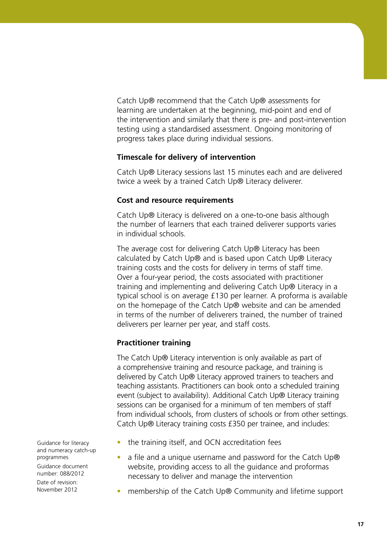Catch Up® recommend that the Catch Up® assessments for learning are undertaken at the beginning, mid-point and end of the intervention and similarly that there is pre- and post-intervention testing using a standardised assessment. Ongoing monitoring of progress takes place during individual sessions.

### **Timescale for delivery of intervention**

Catch Up® Literacy sessions last 15 minutes each and are delivered twice a week by a trained Catch Up® Literacy deliverer.

# **Cost and resource requirements**

Catch Up® Literacy is delivered on a one-to-one basis although the number of learners that each trained deliverer supports varies in individual schools.

The average cost for delivering Catch Up® Literacy has been calculated by Catch Up® and is based upon Catch Up® Literacy training costs and the costs for delivery in terms of staff time. Over a four-year period, the costs associated with practitioner training and implementing and delivering Catch Up® Literacy in a typical school is on average £130 per learner. A proforma is available on the homepage of the Catch Up® website and can be amended in terms of the number of deliverers trained, the number of trained deliverers per learner per year, and staff costs.

# **Practitioner training**

The Catch Up® Literacy intervention is only available as part of a comprehensive training and resource package, and training is delivered by Catch Up® Literacy approved trainers to teachers and teaching assistants. Practitioners can book onto a scheduled training event (subject to availability). Additional Catch Up® Literacy training sessions can be organised for a minimum of ten members of staff from individual schools, from clusters of schools or from other settings. Catch Up® Literacy training costs £350 per trainee, and includes:

- the training itself, and OCN accreditation fees
- a file and a unique username and password for the Catch Up® website, providing access to all the guidance and proformas necessary to deliver and manage the intervention
- membership of the Catch Up® Community and lifetime support

Guidance for literacy and numeracy catch-up programmes Guidance document number: 088/2012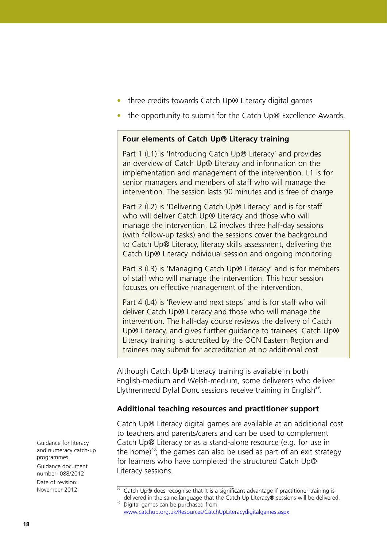- three credits towards Catch Up® Literacy digital games
- the opportunity to submit for the Catch Up® Excellence Awards.

#### **Four elements of Catch Up® Literacy training**

Part 1 (L1) is 'Introducing Catch Up® Literacy' and provides an overview of Catch Up® Literacy and information on the implementation and management of the intervention. L1 is for senior managers and members of staff who will manage the intervention. The session lasts 90 minutes and is free of charge.

Part 2 (L2) is 'Delivering Catch Up® Literacy' and is for staff who will deliver Catch Up® Literacy and those who will manage the intervention. L2 involves three half-day sessions (with follow-up tasks) and the sessions cover the background to Catch Up® Literacy, literacy skills assessment, delivering the Catch Up® Literacy individual session and ongoing monitoring.

Part 3 (L3) is 'Managing Catch Up® Literacy' and is for members of staff who will manage the intervention. This hour session focuses on effective management of the intervention.

Part 4 (L4) is 'Review and next steps' and is for staff who will deliver Catch Up® Literacy and those who will manage the intervention. The half-day course reviews the delivery of Catch Up<sup>®</sup> Literacy, and gives further guidance to trainees. Catch Up<sup>®</sup> Literacy training is accredited by the OCN Eastern Region and trainees may submit for accreditation at no additional cost.

Although Catch Up® Literacy training is available in both English-medium and Welsh-medium, some deliverers who deliver Llythrennedd Dyfal Donc sessions receive training in English<sup>39</sup>.

#### **Additional teaching resources and practitioner support**

Catch Up® Literacy digital games are available at an additional cost to teachers and parents/carers and can be used to complement Catch Up® Literacy or as a stand-alone resource (e.g. for use in the home)<sup>40</sup>; the games can also be used as part of an exit strategy for learners who have completed the structured Catch Up® Literacy sessions.

Guidance for literacy and numeracy catch-up programmes Guidance document number: 088/2012

<sup>&</sup>lt;sup>39</sup> Catch Up® does recognise that it is a significant advantage if practitioner training is delivered in the same language that the Catch Up Literacy® sessions will be delivered. <sup>40</sup> Digital games can be purchased from

<www.catchup.org.uk/Resources/CatchUpLiteracydigitalgames.aspx>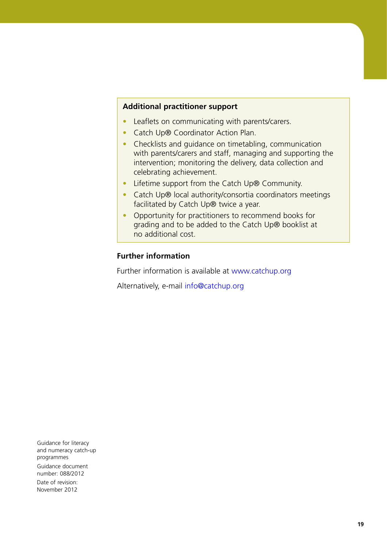#### **Additional practitioner support**

- Leaflets on communicating with parents/carers.
- Catch Up® Coordinator Action Plan.
- Checklists and quidance on timetabling, communication with parents/carers and staff, managing and supporting the intervention; monitoring the delivery, data collection and celebrating achievement.
- Lifetime support from the Catch Up® Community.
- Catch Up® local authority/consortia coordinators meetings facilitated by Catch Up® twice a year.
- Opportunity for practitioners to recommend books for grading and to be added to the Catch Up® booklist at no additional cost.

#### **Further information**

Further information is available at<www.catchup.org>

Alternatively, e-mail info@catchup.org

Guidance for literacy and numeracy catch-up programmes Guidance document number: 088/2012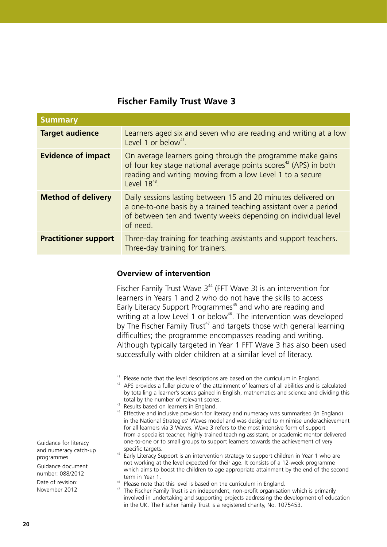# **Fischer Family Trust Wave 3**

| <b>Summary</b>              |                                                                                                                                                                                                                              |
|-----------------------------|------------------------------------------------------------------------------------------------------------------------------------------------------------------------------------------------------------------------------|
| <b>Target audience</b>      | Learners aged six and seven who are reading and writing at a low<br>Level 1 or below <sup>41</sup> .                                                                                                                         |
| <b>Evidence of impact</b>   | On average learners going through the programme make gains<br>of four key stage national average points scores <sup>42</sup> (APS) in both<br>reading and writing moving from a low Level 1 to a secure<br>Level $1B^{43}$ . |
| <b>Method of delivery</b>   | Daily sessions lasting between 15 and 20 minutes delivered on<br>a one-to-one basis by a trained teaching assistant over a period<br>of between ten and twenty weeks depending on individual level<br>of need.               |
| <b>Practitioner support</b> | Three-day training for teaching assistants and support teachers.<br>Three-day training for trainers.                                                                                                                         |

#### **Overview of intervention**

Fischer Family Trust Wave  $3^{44}$  (FFT Wave 3) is an intervention for learners in Years 1 and 2 who do not have the skills to access Early Literacy Support Programmes<sup>45</sup> and who are reading and writing at a low Level 1 or below<sup>46</sup>. The intervention was developed by The Fischer Family Trust<sup>47</sup> and targets those with general learning difficulties; the programme encompasses reading and writing. Although typically targeted in Year 1 FFT Wave 3 has also been used successfully with older children at a similar level of literacy.

<sup>43</sup> Results based on learners in England.

Guidance for literacy and numeracy catch-up programmes

Guidance document number: 088/2012

<sup>&</sup>lt;sup>41</sup> Please note that the level descriptions are based on the curriculum in England.

<sup>&</sup>lt;sup>42</sup> APS provides a fuller picture of the attainment of learners of all abilities and is calculated by totalling a learner's scores gained in English, mathematics and science and dividing this total by the number of relevant scores.

<sup>&</sup>lt;sup>44</sup> Effective and inclusive provision for literacy and numeracy was summarised (in England) in the National Strategies' Waves model and was designed to minimise underachievement for all learners via 3 Waves. Wave 3 refers to the most intensive form of support from a specialist teacher, highly-trained teaching assistant, or academic mentor delivered one-to-one or to small groups to support learners towards the achievement of very specific targets.

<sup>&</sup>lt;sup>45</sup> Early Literacy Support is an intervention strategy to support children in Year 1 who are not working at the level expected for their age. It consists of a 12-week programme which aims to boost the children to age appropriate attainment by the end of the second term in Year 1.

<sup>&</sup>lt;sup>46</sup> Please note that this level is based on the curriculum in England.

<sup>&</sup>lt;sup>47</sup> The Fischer Family Trust is an independent, non-profit organisation which is primarily involved in undertaking and supporting projects addressing the development of education in the UK. The Fischer Family Trust is a registered charity, No. 1075453.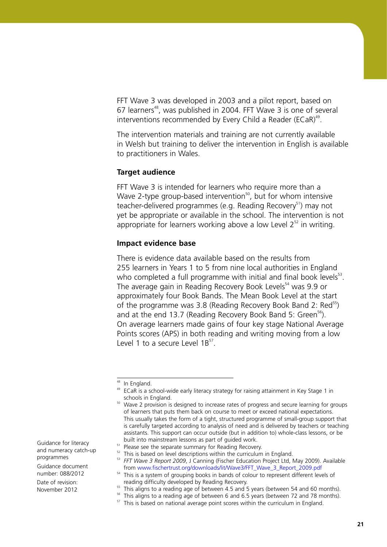FFT Wave 3 was developed in 2003 and a pilot report, based on 67 learners<sup>48</sup>, was published in 2004. FFT Wave 3 is one of several interventions recommended by Every Child a Reader (ECaR)<sup>49</sup>.

The intervention materials and training are not currently available in Welsh but training to deliver the intervention in English is available to practitioners in Wales.

#### **Target audience**

FFT Wave 3 is intended for learners who require more than a Wave 2-type group-based intervention<sup>50</sup>, but for whom intensive teacher-delivered programmes (e.g. Reading Recovery<sup>51</sup>) may not yet be appropriate or available in the school. The intervention is not appropriate for learners working above a low Level  $2^{52}$  in writing.

#### **Impact evidence base**

There is evidence data available based on the results from 255 learners in Years 1 to 5 from nine local authorities in England who completed a full programme with initial and final book levels $53$ . The average gain in Reading Recovery Book Levels<sup>54</sup> was 9.9 or approximately four Book Bands. The Mean Book Level at the start of the programme was 3.8 (Reading Recovery Book Band 2:  $\text{Red}^{55}$ ) and at the end 13.7 (Reading Recovery Book Band 5: Green<sup>56</sup>). On average learners made gains of four key stage National Average Points scores (APS) in both reading and writing moving from a low Level 1 to a secure Level  $1B^{57}$ .

Guidance for literacy and numeracy catch-up programmes

Guidance document number: 088/2012

<sup>&</sup>lt;sup>48</sup> In England.

<sup>&</sup>lt;sup>49</sup> ECaR is a school-wide early literacy strategy for raising attainment in Key Stage 1 in schools in England.

<sup>&</sup>lt;sup>50</sup> Wave 2 provision is designed to increase rates of progress and secure learning for groups of learners that puts them back on course to meet or exceed national expectations. This usually takes the form of a tight, structured programme of small-group support that is carefully targeted according to analysis of need and is delivered by teachers or teaching assistants. This support can occur outside (but in addition to) whole-class lessons, or be built into mainstream lessons as part of guided work.

<sup>&</sup>lt;sup>51</sup> Please see the separate summary for Reading Recovery.

 $52$  This is based on level descriptions within the curriculum in England.

<sup>53</sup> *FFT Wave 3 Report 2009*, J Canning (Fischer Education Project Ltd, May 2009). Available from [www.fischertrust.org/downloads/lit/Wave3/FFT\\_Wave\\_3\\_Report\\_2009.pdf](www.fischertrust.org/downloads/lit/Wave3/FFT_Wave_3_Report_2009.pdf)

<sup>&</sup>lt;sup>54</sup> This is a system of grouping books in bands of colour to represent different levels of reading difficulty developed by Reading Recovery.

<sup>&</sup>lt;sup>55</sup> This aligns to a reading age of between 4.5 and 5 years (between 54 and 60 months).

<sup>&</sup>lt;sup>56</sup> This aligns to a reading age of between 6 and 6.5 years (between 72 and 78 months).

 $57$  This is based on national average point scores within the curriculum in England.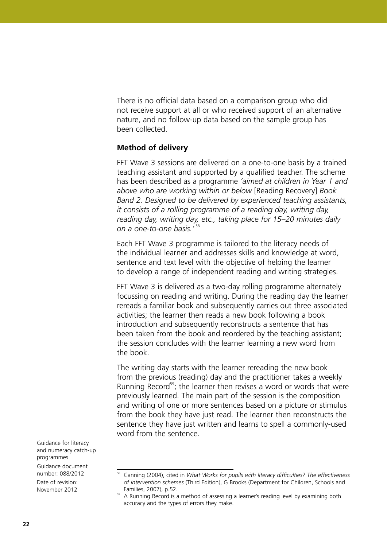There is no official data based on a comparison group who did not receive support at all or who received support of an alternative nature, and no follow-up data based on the sample group has been collected.

### **Method of delivery**

FFT Wave 3 sessions are delivered on a one-to-one basis by a trained teaching assistant and supported by a qualified teacher. The scheme has been described as a programme *'aimed at children in Year 1 and above who are working within or below* [Reading Recovery] *Book Band 2. Designed to be delivered by experienced teaching assistants, it consists of a rolling programme of a reading day, writing day, reading day, writing day, etc., taking place for 15–20 minutes daily on a one-to-one basis.'* 58

Each FFT Wave 3 programme is tailored to the literacy needs of the individual learner and addresses skills and knowledge at word, sentence and text level with the objective of helping the learner to develop a range of independent reading and writing strategies.

FFT Wave 3 is delivered as a two-day rolling programme alternately focussing on reading and writing. During the reading day the learner rereads a familiar book and subsequently carries out three associated activities; the learner then reads a new book following a book introduction and subsequently reconstructs a sentence that has been taken from the book and reordered by the teaching assistant; the session concludes with the learner learning a new word from the book.

The writing day starts with the learner rereading the new book from the previous (reading) day and the practitioner takes a weekly Running Record<sup>59</sup>; the learner then revises a word or words that were previously learned. The main part of the session is the composition and writing of one or more sentences based on a picture or stimulus from the book they have just read. The learner then reconstructs the sentence they have just written and learns to spell a commonly-used word from the sentence.

Guidance for literacy and numeracy catch-up programmes Guidance document

number: 088/2012

<sup>58</sup> Canning (2004), cited in *What Works for pupils with literacy difficulties? The effectiveness of intervention schemes* (Third Edition), G Brooks (Department for Children, Schools and Families, 2007), p.52.

<sup>&</sup>lt;sup>59</sup> A Running Record is a method of assessing a learner's reading level by examining both accuracy and the types of errors they make.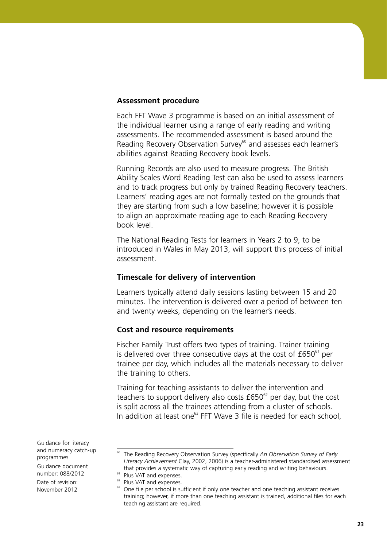#### **Assessment procedure**

Each FFT Wave 3 programme is based on an initial assessment of the individual learner using a range of early reading and writing assessments. The recommended assessment is based around the Reading Recovery Observation Survey $60$  and assesses each learner's abilities against Reading Recovery book levels.

Running Records are also used to measure progress. The British Ability Scales Word Reading Test can also be used to assess learners and to track progress but only by trained Reading Recovery teachers. Learners' reading ages are not formally tested on the grounds that they are starting from such a low baseline; however it is possible to align an approximate reading age to each Reading Recovery book level.

The National Reading Tests for learners in Years 2 to 9, to be introduced in Wales in May 2013, will support this process of initial assessment.

#### **Timescale for delivery of intervention**

Learners typically attend daily sessions lasting between 15 and 20 minutes. The intervention is delivered over a period of between ten and twenty weeks, depending on the learner's needs.

#### **Cost and resource requirements**

Fischer Family Trust offers two types of training. Trainer training is delivered over three consecutive days at the cost of  $£650<sup>61</sup>$  per trainee per day, which includes all the materials necessary to deliver the training to others.

Training for teaching assistants to deliver the intervention and teachers to support delivery also costs  $£650<sup>62</sup>$  per day, but the cost is split across all the trainees attending from a cluster of schools. In addition at least one<sup>63</sup> FFT Wave 3 file is needed for each school,

Guidance for literacy and numeracy catch-up programmes

Guidance document number: 088/2012

<sup>&</sup>lt;sup>60</sup> The Reading Recovery Observation Survey (specifically An Observation Survey of Early *Literacy Achievement* Clay, 2002, 2006) is a teacher-administered standardised assessment that provides a systematic way of capturing early reading and writing behaviours.

<sup>&</sup>lt;sup>61</sup> Plus VAT and expenses.

<sup>&</sup>lt;sup>62</sup> Plus VAT and expenses.

 $63$  One file per school is sufficient if only one teacher and one teaching assistant receives training; however, if more than one teaching assistant is trained, additional files for each teaching assistant are required.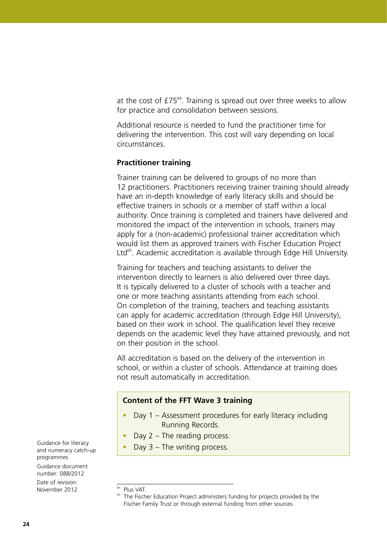at the cost of  $f75^{64}$ . Training is spread out over three weeks to allow for practice and consolidation between sessions.

Additional resource is needed to fund the practitioner time for delivering the intervention. This cost will vary depending on local circumstances.

### **Practitioner training**

Trainer training can be delivered to groups of no more than 12 practitioners. Practitioners receiving trainer training should already have an in-depth knowledge of early literacy skills and should be effective trainers in schools or a member of staff within a local authority. Once training is completed and trainers have delivered and monitored the impact of the intervention in schools, trainers may apply for a (non-academic) professional trainer accreditation which would list them as approved trainers with Fischer Education Project Ltd<sup>65</sup>. Academic accreditation is available through Edge Hill University.

Training for teachers and teaching assistants to deliver the intervention directly to learners is also delivered over three days. It is typically delivered to a cluster of schools with a teacher and one or more teaching assistants attending from each school. On completion of the training, teachers and teaching assistants can apply for academic accreditation (through Edge Hill University), based on their work in school. The qualification level they receive depends on the academic level they have attained previously, and not on their position in the school.

All accreditation is based on the delivery of the intervention in school, or within a cluster of schools. Attendance at training does not result automatically in accreditation.

#### **Content of the FFT Wave 3 training**

- Day 1 Assessment procedures for early literacy including Running Records.
- Day  $2$  The reading process.
- Day  $3$  The writing process.

Guidance for literacy and numeracy catch-up programmes Guidance document

number: 088/2012 Date of revision:

November 2012

<sup>64</sup> Plus VAT.

<sup>&</sup>lt;sup>65</sup> The Fischer Education Project administers funding for projects provided by the Fischer Family Trust or through external funding from other sources.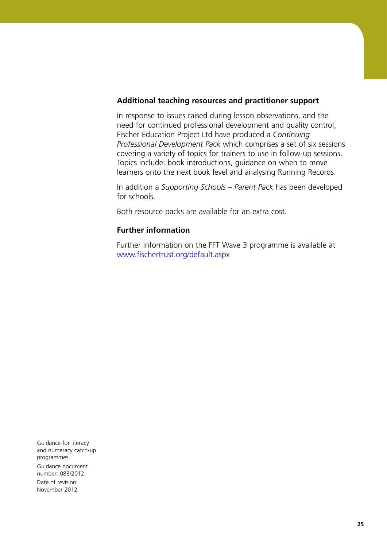#### **Additional teaching resources and practitioner support**

In response to issues raised during lesson observations, and the need for continued professional development and quality control, Fischer Education Project Ltd have produced a *Continuing Professional Development Pack* which comprises a set of six sessions covering a variety of topics for trainers to use in follow-up sessions. Topics include: book introductions, guidance on when to move learners onto the next book level and analysing Running Records.

In addition a *Supporting Schools – Parent Pack* has been developed for schools.

Both resource packs are available for an extra cost.

### **Further information**

Further information on the FFT Wave 3 programme is available at <www.fischertrust.org/default.aspx>

Guidance for literacy and numeracy catch-up programmes Guidance document number: 088/2012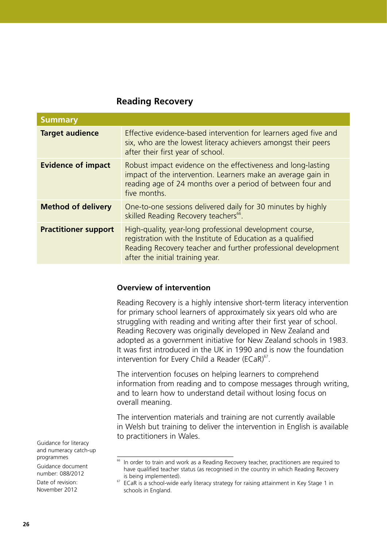### **Reading Recovery**

| <b>Summary</b>              |                                                                                                                                                                                                                              |
|-----------------------------|------------------------------------------------------------------------------------------------------------------------------------------------------------------------------------------------------------------------------|
| <b>Target audience</b>      | Effective evidence-based intervention for learners aged five and<br>six, who are the lowest literacy achievers amongst their peers<br>after their first year of school.                                                      |
| <b>Evidence of impact</b>   | Robust impact evidence on the effectiveness and long-lasting<br>impact of the intervention. Learners make an average gain in<br>reading age of 24 months over a period of between four and<br>five months.                   |
| <b>Method of delivery</b>   | One-to-one sessions delivered daily for 30 minutes by highly<br>skilled Reading Recovery teachers <sup>66</sup> .                                                                                                            |
| <b>Practitioner support</b> | High-quality, year-long professional development course,<br>registration with the Institute of Education as a qualified<br>Reading Recovery teacher and further professional development<br>after the initial training year. |

#### **Overview of intervention**

Reading Recovery is a highly intensive short-term literacy intervention for primary school learners of approximately six years old who are struggling with reading and writing after their first year of school. Reading Recovery was originally developed in New Zealand and adopted as a government initiative for New Zealand schools in 1983. It was first introduced in the UK in 1990 and is now the foundation intervention for Every Child a Reader (ECaR) $67$ .

The intervention focuses on helping learners to comprehend information from reading and to compose messages through writing, and to learn how to understand detail without losing focus on overall meaning.

The intervention materials and training are not currently available in Welsh but training to deliver the intervention in English is available to practitioners in Wales.

Guidance for literacy and numeracy catch-up programmes Guidance document

number: 088/2012

<sup>&</sup>lt;sup>66</sup> In order to train and work as a Reading Recovery teacher, practitioners are required to have qualified teacher status (as recognised in the country in which Reading Recovery is being implemented).

 $67$  ECaR is a school-wide early literacy strategy for raising attainment in Key Stage 1 in schools in England.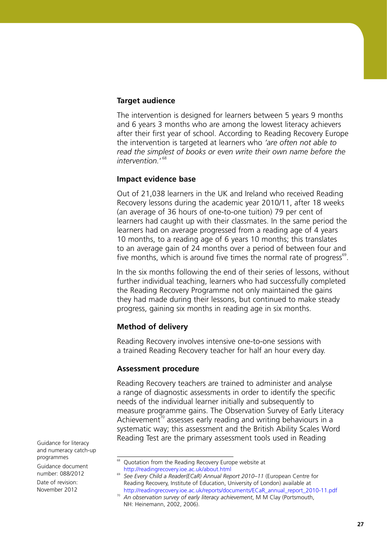#### **Target audience**

The intervention is designed for learners between 5 years 9 months and 6 years 3 months who are among the lowest literacy achievers after their first year of school. According to Reading Recovery Europe the intervention is targeted at learners who *'are often not able to read the simplest of books or even write their own name before the intervention.*' 68

#### **Impact evidence base**

Out of 21,038 learners in the UK and Ireland who received Reading Recovery lessons during the academic year 2010/11, after 18 weeks (an average of 36 hours of one-to-one tuition) 79 per cent of learners had caught up with their classmates. In the same period the learners had on average progressed from a reading age of 4 years 10 months, to a reading age of 6 years 10 months; this translates to an average gain of 24 months over a period of between four and five months, which is around five times the normal rate of progress $<sup>69</sup>$ .</sup>

In the six months following the end of their series of lessons, without further individual teaching, learners who had successfully completed the Reading Recovery Programme not only maintained the gains they had made during their lessons, but continued to make steady progress, gaining six months in reading age in six months.

#### **Method of delivery**

Reading Recovery involves intensive one-to-one sessions with a trained Reading Recovery teacher for half an hour every day.

#### **Assessment procedure**

Reading Recovery teachers are trained to administer and analyse a range of diagnostic assessments in order to identify the specific needs of the individual learner initially and subsequently to measure programme gains. The Observation Survey of Early Literacy Achievement<sup>70</sup> assesses early reading and writing behaviours in a systematic way; this assessment and the British Ability Scales Word Reading Test are the primary assessment tools used in Reading

Guidance for literacy and numeracy catch-up programmes

Guidance document number: 088/2012

<sup>&</sup>lt;sup>68</sup> Quotation from the Reading Recovery Europe website at <http://readingrecovery.ioe.ac.uk/about.html>

<sup>&</sup>lt;sup>69</sup> See Every Child a Reader(ECaR) Annual Report 2010–11 (European Centre for Reading Recovery, Institute of Education, University of London) available at [http://readingrecovery.ioe.ac.uk/reports/documents/ECaR\\_annual\\_report\\_2010-11.pdf](http://readingrecovery.ioe.ac.uk/reports/documents/ECaR_annual_report_2010-11.pdf)

<sup>70</sup> *An observation survey of early literacy achievement*, M M Clay (Portsmouth, NH: Heinemann, 2002, 2006).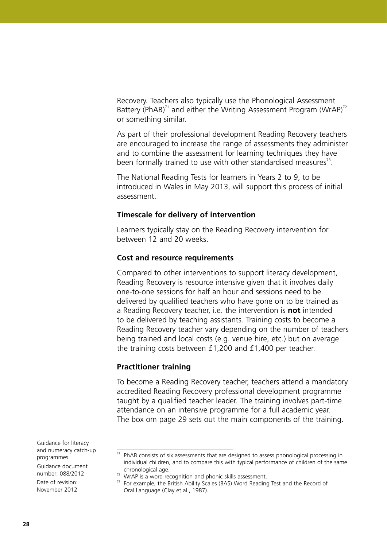Recovery. Teachers also typically use the Phonological Assessment Battery (PhAB)<sup>71</sup> and either the Writing Assessment Program (WrAP)<sup>72</sup> or something similar.

As part of their professional development Reading Recovery teachers are encouraged to increase the range of assessments they administer and to combine the assessment for learning techniques they have been formally trained to use with other standardised measures<sup>73</sup>.

The National Reading Tests for learners in Years 2 to 9, to be introduced in Wales in May 2013, will support this process of initial assessment.

#### **Timescale for delivery of intervention**

Learners typically stay on the Reading Recovery intervention for between 12 and 20 weeks.

#### **Cost and resource requirements**

Compared to other interventions to support literacy development, Reading Recovery is resource intensive given that it involves daily one-to-one sessions for half an hour and sessions need to be delivered by qualified teachers who have gone on to be trained as a Reading Recovery teacher, i.e. the intervention is **not** intended to be delivered by teaching assistants. Training costs to become a Reading Recovery teacher vary depending on the number of teachers being trained and local costs (e.g. venue hire, etc.) but on average the training costs between £1,200 and £1,400 per teacher.

#### **Practitioner training**

To become a Reading Recovery teacher, teachers attend a mandatory accredited Reading Recovery professional development programme taught by a qualified teacher leader. The training involves part-time attendance on an intensive programme for a full academic year. The box om page 29 sets out the main components of the training.

Guidance for literacy and numeracy catch-up programmes

Guidance document number: 088/2012

 $71$  PhAB consists of six assessments that are designed to assess phonological processing in individual children, and to compare this with typical performance of children of the same chronological age.

 $72$  WrAP is a word recognition and phonic skills assessment.

 $73$  For example, the British Ability Scales (BAS) Word Reading Test and the Record of Oral Language (Clay et al., 1987).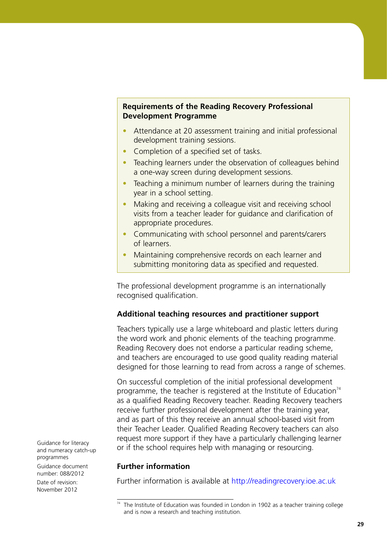#### **Requirements of the Reading Recovery Professional Development Programme**

- Attendance at 20 assessment training and initial professional development training sessions.
- Completion of a specified set of tasks.
- Teaching learners under the observation of colleagues behind a one-way screen during development sessions.
- Teaching a minimum number of learners during the training year in a school setting.
- Making and receiving a colleague visit and receiving school visits from a teacher leader for guidance and clarification of appropriate procedures.
- Communicating with school personnel and parents/carers of learners.
- Maintaining comprehensive records on each learner and submitting monitoring data as specified and requested.

The professional development programme is an internationally recognised qualification.

#### **Additional teaching resources and practitioner support**

Teachers typically use a large whiteboard and plastic letters during the word work and phonic elements of the teaching programme. Reading Recovery does not endorse a particular reading scheme, and teachers are encouraged to use good quality reading material designed for those learning to read from across a range of schemes.

On successful completion of the initial professional development programme, the teacher is registered at the Institute of Education $74$ as a qualified Reading Recovery teacher. Reading Recovery teachers receive further professional development after the training year, and as part of this they receive an annual school-based visit from their Teacher Leader. Qualified Reading Recovery teachers can also request more support if they have a particularly challenging learner or if the school requires help with managing or resourcing.

#### **Further information**

Further information is available at<http://readingrecovery.ioe.ac.uk>

Guidance for literacy and numeracy catch-up programmes Guidance document number: 088/2012

 $74$  The Institute of Education was founded in London in 1902 as a teacher training college and is now a research and teaching institution.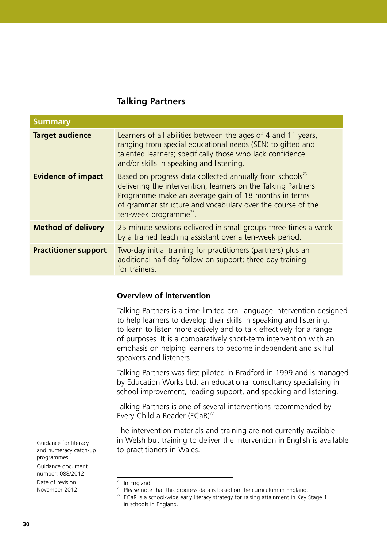# **Talking Partners**

| <b>Summary</b>              |                                                                                                                                                                                                                                                                                                   |
|-----------------------------|---------------------------------------------------------------------------------------------------------------------------------------------------------------------------------------------------------------------------------------------------------------------------------------------------|
| <b>Target audience</b>      | Learners of all abilities between the ages of 4 and 11 years,<br>ranging from special educational needs (SEN) to gifted and<br>talented learners; specifically those who lack confidence<br>and/or skills in speaking and listening.                                                              |
| <b>Evidence of impact</b>   | Based on progress data collected annually from schools <sup>75</sup><br>delivering the intervention, learners on the Talking Partners<br>Programme make an average gain of 18 months in terms<br>of grammar structure and vocabulary over the course of the<br>ten-week programme <sup>76</sup> . |
| <b>Method of delivery</b>   | 25-minute sessions delivered in small groups three times a week<br>by a trained teaching assistant over a ten-week period.                                                                                                                                                                        |
| <b>Practitioner support</b> | Two-day initial training for practitioners (partners) plus an<br>additional half day follow-on support; three-day training<br>for trainers.                                                                                                                                                       |

#### **Overview of intervention**

Talking Partners is a time-limited oral language intervention designed to help learners to develop their skills in speaking and listening, to learn to listen more actively and to talk effectively for a range of purposes. It is a comparatively short-term intervention with an emphasis on helping learners to become independent and skilful speakers and listeners.

Talking Partners was first piloted in Bradford in 1999 and is managed by Education Works Ltd, an educational consultancy specialising in school improvement, reading support, and speaking and listening.

Talking Partners is one of several interventions recommended by Every Child a Reader (ECaR)<sup>77</sup>.

The intervention materials and training are not currently available in Welsh but training to deliver the intervention in English is available to practitioners in Wales.

Guidance for literacy and numeracy catch-up programmes Guidance document

number: 088/2012

 $75$  In England.

<sup>&</sup>lt;sup>76</sup> Please note that this progress data is based on the curriculum in England.

 $77$  ECaR is a school-wide early literacy strategy for raising attainment in Key Stage 1 in schools in England.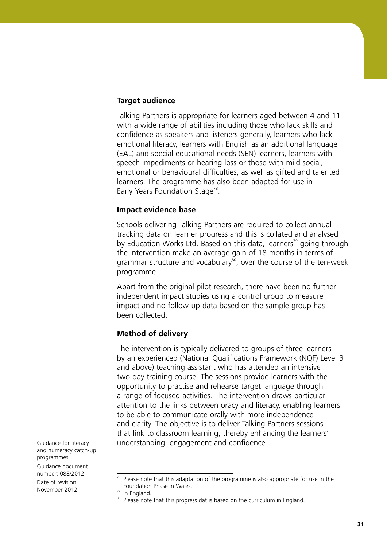#### **Target audience**

Talking Partners is appropriate for learners aged between 4 and 11 with a wide range of abilities including those who lack skills and confidence as speakers and listeners generally, learners who lack emotional literacy, learners with English as an additional language (EAL) and special educational needs (SEN) learners, learners with speech impediments or hearing loss or those with mild social, emotional or behavioural difficulties, as well as gifted and talented learners. The programme has also been adapted for use in Early Years Foundation Stage<sup>78</sup>.

#### **Impact evidence base**

Schools delivering Talking Partners are required to collect annual tracking data on learner progress and this is collated and analysed by Education Works Ltd. Based on this data, learners<sup>79</sup> going through the intervention make an average gain of 18 months in terms of grammar structure and vocabulary $\delta$ , over the course of the ten-week programme.

Apart from the original pilot research, there have been no further independent impact studies using a control group to measure impact and no follow-up data based on the sample group has been collected.

#### **Method of delivery**

The intervention is typically delivered to groups of three learners by an experienced (National Qualifications Framework (NQF) Level 3 and above) teaching assistant who has attended an intensive two-day training course. The sessions provide learners with the opportunity to practise and rehearse target language through a range of focused activities. The intervention draws particular attention to the links between oracy and literacy, enabling learners to be able to communicate orally with more independence and clarity. The objective is to deliver Talking Partners sessions that link to classroom learning, thereby enhancing the learners' understanding, engagement and confidence.

Guidance for literacy and numeracy catch-up programmes Guidance document

number: 088/2012

Please note that this adaptation of the programme is also appropriate for use in the Foundation Phase in Wales.

 $79$  In England.

<sup>&</sup>lt;sup>80</sup> Please note that this progress dat is based on the curriculum in England.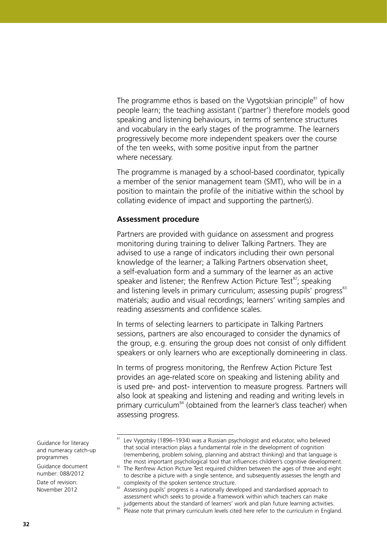The programme ethos is based on the Vygotskian principle $81$  of how people learn; the teaching assistant ('partner') therefore models good speaking and listening behaviours, in terms of sentence structures and vocabulary in the early stages of the programme. The learners progressively become more independent speakers over the course of the ten weeks, with some positive input from the partner where necessary.

The programme is managed by a school-based coordinator, typically a member of the senior management team (SMT), who will be in a position to maintain the profile of the initiative within the school by collating evidence of impact and supporting the partner(s).

#### **Assessment procedure**

Partners are provided with guidance on assessment and progress monitoring during training to deliver Talking Partners. They are advised to use a range of indicators including their own personal knowledge of the learner; a Talking Partners observation sheet, a self-evaluation form and a summary of the learner as an active speaker and listener; the Renfrew Action Picture Test<sup>82</sup>; speaking and listening levels in primary curriculum; assessing pupils' progress<sup>83</sup> materials; audio and visual recordings; learners' writing samples and reading assessments and confidence scales.

In terms of selecting learners to participate in Talking Partners sessions, partners are also encouraged to consider the dynamics of the group, e.g. ensuring the group does not consist of only diffident speakers or only learners who are exceptionally domineering in class.

In terms of progress monitoring, the Renfrew Action Picture Test provides an age-related score on speaking and listening ability and is used pre- and post- intervention to measure progress. Partners will also look at speaking and listening and reading and writing levels in primary curriculum<sup>84</sup> (obtained from the learner's class teacher) when assessing progress.

Guidance for literacy and numeracy catch-up programmes

Guidance document number: 088/2012

<sup>&</sup>lt;sup>81</sup> Lev Vygotsky (1896–1934) was a Russian psychologist and educator, who believed that social interaction plays a fundamental role in the development of cognition (remembering, problem solving, planning and abstract thinking) and that language is the most important psychological tool that influences children's cognitive development.

<sup>82</sup> The Renfrew Action Picture Test required children between the ages of three and eight to describe a picture with a single sentence, and subsequently assesses the length and

complexity of the spoken sentence structure. 83 Assessing pupils' progress is a nationally developed and standardised approach to assessment which seeks to provide a framework within which teachers can make judgements about the standard of learners' work and plan future learning activities.

<sup>&</sup>lt;sup>84</sup> Please note that primary curriculum levels cited here refer to the curriculum in England.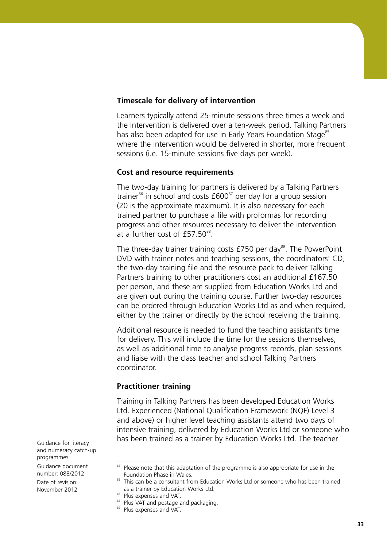#### **Timescale for delivery of intervention**

Learners typically attend 25-minute sessions three times a week and the intervention is delivered over a ten-week period. Talking Partners has also been adapted for use in Early Years Foundation Stage<sup>85</sup> where the intervention would be delivered in shorter, more frequent sessions (i.e. 15-minute sessions five days per week).

#### **Cost and resource requirements**

The two-day training for partners is delivered by a Talking Partners trainer $^{86}$  in school and costs  $£600^{87}$  per day for a group session (20 is the approximate maximum). It is also necessary for each trained partner to purchase a file with proformas for recording progress and other resources necessary to deliver the intervention at a further cost of  $£57.50<sup>88</sup>$ .

The three-day trainer training costs  $£750$  per day<sup>89</sup>. The PowerPoint DVD with trainer notes and teaching sessions, the coordinators' CD, the two-day training file and the resource pack to deliver Talking Partners training to other practitioners cost an additional £167.50 per person, and these are supplied from Education Works Ltd and are given out during the training course. Further two-day resources can be ordered through Education Works Ltd as and when required, either by the trainer or directly by the school receiving the training.

Additional resource is needed to fund the teaching assistant's time for delivery. This will include the time for the sessions themselves, as well as additional time to analyse progress records, plan sessions and liaise with the class teacher and school Talking Partners coordinator.

#### **Practitioner training**

Training in Talking Partners has been developed Education Works Ltd. Experienced (National Qualification Framework (NQF) Level 3 and above) or higher level teaching assistants attend two days of intensive training, delivered by Education Works Ltd or someone who has been trained as a trainer by Education Works Ltd. The teacher

Guidance for literacy and numeracy catch-up programmes

Guidance document number: 088/2012

<sup>&</sup>lt;sup>85</sup> Please note that this adaptation of the programme is also appropriate for use in the Foundation Phase in Wales.

<sup>&</sup>lt;sup>86</sup> This can be a consultant from Education Works Ltd or someone who has been trained as a trainer by Education Works Ltd. 87

<sup>&</sup>lt;sup>87</sup> Plus expenses and VAT.

<sup>88</sup> Plus VAT and postage and packaging.

<sup>89</sup> Plus expenses and VAT.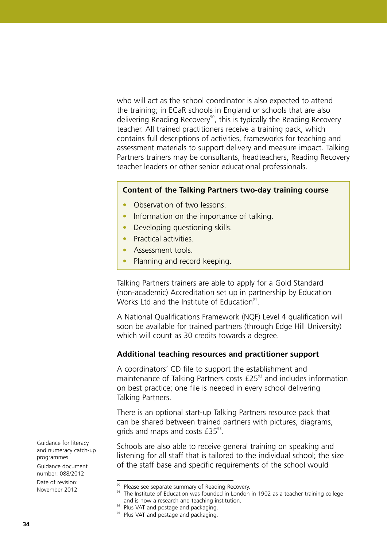who will act as the school coordinator is also expected to attend the training; in ECaR schools in England or schools that are also delivering Reading Recovery<sup>90</sup>, this is typically the Reading Recovery teacher. All trained practitioners receive a training pack, which contains full descriptions of activities, frameworks for teaching and assessment materials to support delivery and measure impact. Talking Partners trainers may be consultants, headteachers, Reading Recovery teacher leaders or other senior educational professionals.

#### **Content of the Talking Partners two-day training course**

- Observation of two lessons.
- Information on the importance of talking.
- Developing questioning skills.
- Practical activities
- Assessment tools.
- Planning and record keeping.

Talking Partners trainers are able to apply for a Gold Standard (non-academic) Accreditation set up in partnership by Education Works Ltd and the Institute of Education<sup>91</sup>.

A National Qualifications Framework (NQF) Level 4 qualification will soon be available for trained partners (through Edge Hill University) which will count as 30 credits towards a degree.

#### **Additional teaching resources and practitioner support**

A coordinators' CD file to support the establishment and maintenance of Talking Partners costs  $£25<sup>92</sup>$  and includes information on best practice; one file is needed in every school delivering Talking Partners.

There is an optional start-up Talking Partners resource pack that can be shared between trained partners with pictures, diagrams, grids and maps and costs  $£35<sup>93</sup>$ .

Schools are also able to receive general training on speaking and listening for all staff that is tailored to the individual school; the size of the staff base and specific requirements of the school would

Guidance for literacy and numeracy catch-up programmes

Guidance document number: 088/2012

<sup>&</sup>lt;sup>90</sup> Please see separate summary of Reading Recovery.

<sup>&</sup>lt;sup>91</sup> The Institute of Education was founded in London in 1902 as a teacher training college and is now a research and teaching institution.

<sup>&</sup>lt;sup>92</sup> Plus VAT and postage and packaging.

<sup>&</sup>lt;sup>93</sup> Plus VAT and postage and packaging.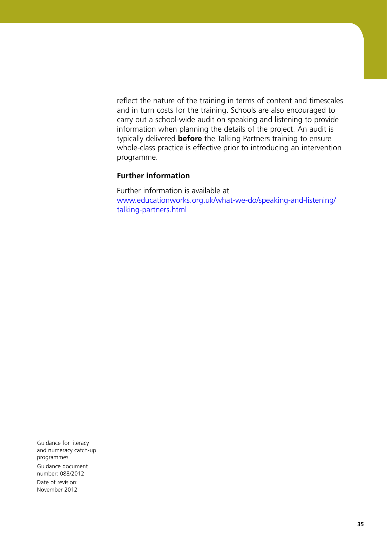reflect the nature of the training in terms of content and timescales and in turn costs for the training. Schools are also encouraged to carry out a school-wide audit on speaking and listening to provide information when planning the details of the project. An audit is typically delivered **before** the Talking Partners training to ensure whole-class practice is effective prior to introducing an intervention programme.

# **Further information**

Further information is available at [www.educationworks.org.uk/what-we-do/speaking-and-listening/](www.educationworks.org.uk/what-we-do/speaking-and-listening/talking-partners.html) [talking-partners.html](www.educationworks.org.uk/what-we-do/speaking-and-listening/talking-partners.html)

Guidance for literacy and numeracy catch-up programmes Guidance document number: 088/2012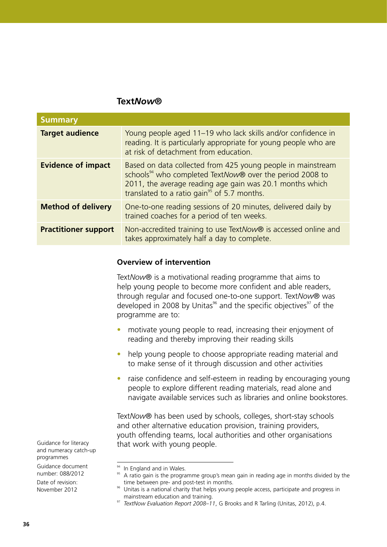#### **Text***Now***®**

| <b>Summary</b>              |                                                                                                                                                                                                                                                            |
|-----------------------------|------------------------------------------------------------------------------------------------------------------------------------------------------------------------------------------------------------------------------------------------------------|
| <b>Target audience</b>      | Young people aged 11–19 who lack skills and/or confidence in<br>reading. It is particularly appropriate for young people who are<br>at risk of detachment from education.                                                                                  |
| <b>Evidence of impact</b>   | Based on data collected from 425 young people in mainstream<br>schools <sup>94</sup> who completed TextNow® over the period 2008 to<br>2011, the average reading age gain was 20.1 months which<br>translated to a ratio gain <sup>95</sup> of 5.7 months. |
| <b>Method of delivery</b>   | One-to-one reading sessions of 20 minutes, delivered daily by<br>trained coaches for a period of ten weeks.                                                                                                                                                |
| <b>Practitioner support</b> | Non-accredited training to use TextNow® is accessed online and<br>takes approximately half a day to complete.                                                                                                                                              |

#### **Overview of intervention**

Text*Now*® is a motivational reading programme that aims to help young people to become more confident and able readers, through regular and focused one-to-one support. Text*Now*® was developed in 2008 by Unitas<sup>96</sup> and the specific objectives<sup>97</sup> of the programme are to:

- motivate young people to read, increasing their enjoyment of reading and thereby improving their reading skills
- help young people to choose appropriate reading material and to make sense of it through discussion and other activities
- raise confidence and self-esteem in reading by encouraging young people to explore different reading materials, read alone and navigate available services such as libraries and online bookstores.

Text*Now*® has been used by schools, colleges, short-stay schools and other alternative education provision, training providers, youth offending teams, local authorities and other organisations that work with young people.

Guidance for literacy and numeracy catch-up programmes Guidance document

number: 088/2012

<sup>&</sup>lt;sup>94</sup> In England and in Wales.

<sup>&</sup>lt;sup>95</sup> A ratio gain is the programme group's mean gain in reading age in months divided by the time between pre- and post-test in months.

<sup>&</sup>lt;sup>96</sup> Unitas is a national charity that helps young people access, participate and progress in mainstream education and training.

<sup>97</sup> *TextNow Evaluation Report 2008–11*, G Brooks and R Tarling (Unitas, 2012), p.4.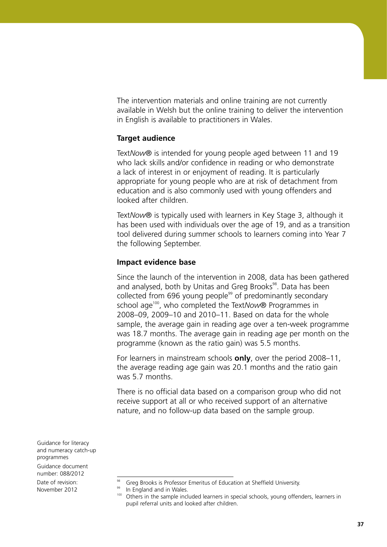The intervention materials and online training are not currently available in Welsh but the online training to deliver the intervention in English is available to practitioners in Wales.

#### **Target audience**

Text*Now*® is intended for young people aged between 11 and 19 who lack skills and/or confidence in reading or who demonstrate a lack of interest in or enjoyment of reading. It is particularly appropriate for young people who are at risk of detachment from education and is also commonly used with young offenders and looked after children.

Text*Now*® is typically used with learners in Key Stage 3, although it has been used with individuals over the age of 19, and as a transition tool delivered during summer schools to learners coming into Year 7 the following September.

#### **Impact evidence base**

Since the launch of the intervention in 2008, data has been gathered and analysed, both by Unitas and Greg Brooks<sup>98</sup>. Data has been collected from 696 young people<sup>99</sup> of predominantly secondary school age100, who completed the Text*Now*® Programmes in 2008–09, 2009–10 and 2010–11. Based on data for the whole sample, the average gain in reading age over a ten-week programme was 18.7 months. The average gain in reading age per month on the programme (known as the ratio gain) was 5.5 months.

For learners in mainstream schools **only**, over the period 2008–11, the average reading age gain was 20.1 months and the ratio gain was 5.7 months.

There is no official data based on a comparison group who did not receive support at all or who received support of an alternative nature, and no follow-up data based on the sample group.

Guidance for literacy and numeracy catch-up programmes Guidance document

number: 088/2012

Greg Brooks is Professor Emeritus of Education at Sheffield University.

<sup>99</sup> In England and in Wales.

<sup>&</sup>lt;sup>100</sup> Others in the sample included learners in special schools, young offenders, learners in pupil referral units and looked after children.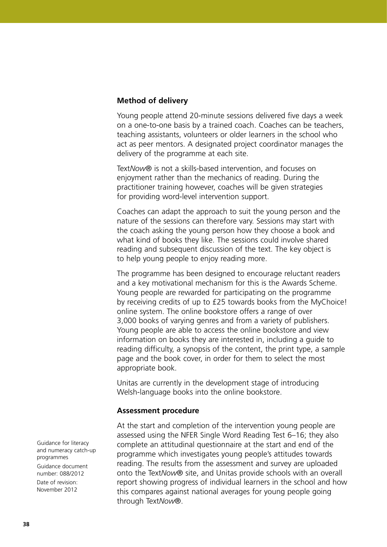#### **Method of delivery**

Young people attend 20-minute sessions delivered five days a week on a one-to-one basis by a trained coach. Coaches can be teachers, teaching assistants, volunteers or older learners in the school who act as peer mentors. A designated project coordinator manages the delivery of the programme at each site.

Text*Now*® is not a skills-based intervention, and focuses on enjoyment rather than the mechanics of reading. During the practitioner training however, coaches will be given strategies for providing word-level intervention support.

Coaches can adapt the approach to suit the young person and the nature of the sessions can therefore vary. Sessions may start with the coach asking the young person how they choose a book and what kind of books they like. The sessions could involve shared reading and subsequent discussion of the text. The key object is to help young people to enjoy reading more.

The programme has been designed to encourage reluctant readers and a key motivational mechanism for this is the Awards Scheme. Young people are rewarded for participating on the programme by receiving credits of up to £25 towards books from the MyChoice! online system. The online bookstore offers a range of over 3,000 books of varying genres and from a variety of publishers. Young people are able to access the online bookstore and view information on books they are interested in, including a guide to reading difficulty, a synopsis of the content, the print type, a sample page and the book cover, in order for them to select the most appropriate book.

Unitas are currently in the development stage of introducing Welsh-language books into the online bookstore.

#### **Assessment procedure**

At the start and completion of the intervention young people are assessed using the NFER Single Word Reading Test 6–16; they also complete an attitudinal questionnaire at the start and end of the programme which investigates young people's attitudes towards reading. The results from the assessment and survey are uploaded onto the Text*Now*® site, and Unitas provide schools with an overall report showing progress of individual learners in the school and how this compares against national averages for young people going through Text*Now*®.

Guidance for literacy and numeracy catch-up programmes Guidance document number: 088/2012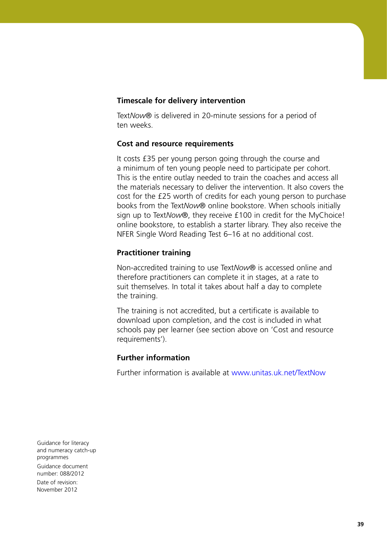#### **Timescale for delivery intervention**

Text*Now*® is delivered in 20-minute sessions for a period of ten weeks.

#### **Cost and resource requirements**

It costs £35 per young person going through the course and a minimum of ten young people need to participate per cohort. This is the entire outlay needed to train the coaches and access all the materials necessary to deliver the intervention. It also covers the cost for the £25 worth of credits for each young person to purchase books from the Text*Now*® online bookstore. When schools initially sign up to Text*Now*®, they receive £100 in credit for the MyChoice! online bookstore, to establish a starter library. They also receive the NFER Single Word Reading Test 6–16 at no additional cost.

#### **Practitioner training**

Non-accredited training to use Text*Now*® is accessed online and therefore practitioners can complete it in stages, at a rate to suit themselves. In total it takes about half a day to complete the training.

The training is not accredited, but a certificate is available to download upon completion, and the cost is included in what schools pay per learner (see section above on 'Cost and resource requirements').

#### **Further information**

Further information is available at<www.unitas.uk.net/TextNow>

Guidance for literacy and numeracy catch-up programmes Guidance document number: 088/2012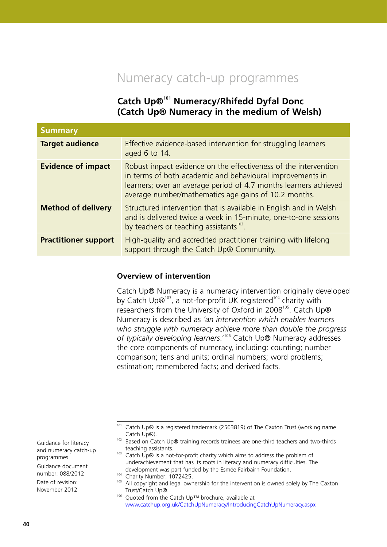# Numeracy catch-up programmes

# **Catch Up®101 Numeracy/Rhifedd Dyfal Donc (Catch Up® Numeracy in the medium of Welsh)**

| <b>Summary</b>              |                                                                                                                                                                                                                                                          |
|-----------------------------|----------------------------------------------------------------------------------------------------------------------------------------------------------------------------------------------------------------------------------------------------------|
| <b>Target audience</b>      | Effective evidence-based intervention for struggling learners<br>aged 6 to 14.                                                                                                                                                                           |
| <b>Evidence of impact</b>   | Robust impact evidence on the effectiveness of the intervention<br>in terms of both academic and behavioural improvements in<br>learners; over an average period of 4.7 months learners achieved<br>average number/mathematics age gains of 10.2 months. |
| <b>Method of delivery</b>   | Structured intervention that is available in English and in Welsh<br>and is delivered twice a week in 15-minute, one-to-one sessions<br>by teachers or teaching assistants <sup>102</sup> .                                                              |
| <b>Practitioner support</b> | High-quality and accredited practitioner training with lifelong<br>support through the Catch Up® Community.                                                                                                                                              |

#### **Overview of intervention**

Catch Up® Numeracy is a numeracy intervention originally developed by Catch Up®<sup>103</sup>, a not-for-profit UK registered<sup>104</sup> charity with researchers from the University of Oxford in 2008<sup>105</sup>. Catch Up® Numeracy is described as *'an intervention which enables learners who struggle with numeracy achieve more than double the progress*  of typically developing learners.<sup>'106</sup> Catch Up® Numeracy addresses the core components of numeracy, including: counting; number comparison; tens and units; ordinal numbers; word problems; estimation; remembered facts; and derived facts.

Guidance document number: 088/2012

<sup>101</sup> Catch Up® is a registered trademark (2563819) of The Caxton Trust (working name Catch Up®).

<sup>&</sup>lt;sup>102</sup> Based on Catch Up® training records trainees are one-third teachers and two-thirds teaching assistants.

 $103$  Catch Up $\odot$  is a not-for-profit charity which aims to address the problem of underachievement that has its roots in literacy and numeracy difficulties. The development was part funded by the Esmée Fairbairn Foundation.

<sup>&</sup>lt;sup>104</sup> Charity Number: 1072425.

<sup>&</sup>lt;sup>105</sup> All copyright and legal ownership for the intervention is owned solely by The Caxton Trust/Catch Up®.

<sup>&</sup>lt;sup>106</sup> Quoted from the Catch Up™ brochure, available at <www.catchup.org.uk/CatchUpNumeracy/IntroducingCatchUpNumeracy.aspx>

Guidance for literacy and numeracy catch-up programmes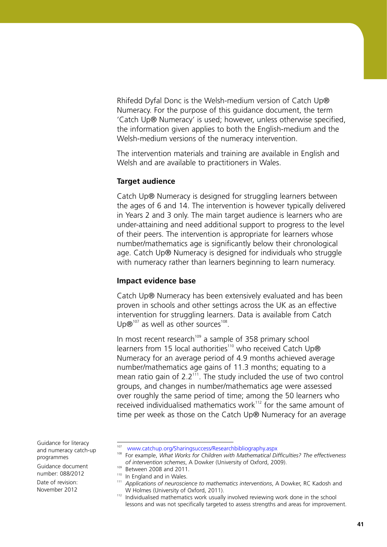Rhifedd Dyfal Donc is the Welsh-medium version of Catch Up® Numeracy. For the purpose of this guidance document, the term 'Catch Up® Numeracy' is used; however, unless otherwise specified, the information given applies to both the English-medium and the Welsh-medium versions of the numeracy intervention.

The intervention materials and training are available in English and Welsh and are available to practitioners in Wales.

#### **Target audience**

Catch Up® Numeracy is designed for struggling learners between the ages of 6 and 14. The intervention is however typically delivered in Years 2 and 3 only. The main target audience is learners who are under-attaining and need additional support to progress to the level of their peers. The intervention is appropriate for learners whose number/mathematics age is significantly below their chronological age. Catch Up® Numeracy is designed for individuals who struggle with numeracy rather than learners beginning to learn numeracy.

#### **Impact evidence base**

Catch Up® Numeracy has been extensively evaluated and has been proven in schools and other settings across the UK as an effective intervention for struggling learners. Data is available from Catch Up $\mathcal{B}^{107}$  as well as other sources<sup>108</sup>.

In most recent research $109$  a sample of 358 primary school learners from 15 local authorities<sup>110</sup> who received Catch Up® Numeracy for an average period of 4.9 months achieved average number/mathematics age gains of 11.3 months; equating to a mean ratio gain of  $2.2<sup>111</sup>$ . The study included the use of two control groups, and changes in number/mathematics age were assessed over roughly the same period of time; among the 50 learners who received individualised mathematics work<sup>112</sup> for the same amount of time per week as those on the Catch Up® Numeracy for an average

Guidance document number: 088/2012

Guidance for literacy and numeracy catch-up programmes

<sup>107</sup> <www.catchup.org/Sharingsuccess/Researchbibliography.aspx>

<sup>108</sup> For example, *What Works for Children with Mathematical Difficulties? The effectiveness of intervention schemes*, A Dowker (University of Oxford, 2009).

<sup>&</sup>lt;sup>109</sup> Between 2008 and 2011.

<sup>&</sup>lt;sup>110</sup> In England and in Wales.

<sup>111</sup> *Applications of neuroscience to mathematics interventions*, A Dowker, RC Kadosh and W Holmes (University of Oxford, 2011).

 $112$  Individualised mathematics work usually involved reviewing work done in the school lessons and was not specifically targeted to assess strengths and areas for improvement.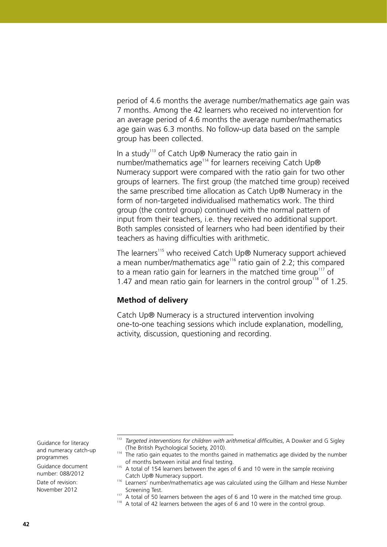period of 4.6 months the average number/mathematics age gain was 7 months. Among the 42 learners who received no intervention for an average period of 4.6 months the average number/mathematics age gain was 6.3 months. No follow-up data based on the sample group has been collected.

In a study<sup>113</sup> of Catch Up® Numeracy the ratio gain in number/mathematics age<sup>114</sup> for learners receiving Catch Up® Numeracy support were compared with the ratio gain for two other groups of learners. The first group (the matched time group) received the same prescribed time allocation as Catch Up® Numeracy in the form of non-targeted individualised mathematics work. The third group (the control group) continued with the normal pattern of input from their teachers, i.e. they received no additional support. Both samples consisted of learners who had been identified by their teachers as having difficulties with arithmetic.

The learners<sup>115</sup> who received Catch Up® Numeracy support achieved a mean number/mathematics age<sup>116</sup> ratio gain of 2.2; this compared to a mean ratio gain for learners in the matched time group<sup>117</sup> of 1.47 and mean ratio gain for learners in the control group<sup>118</sup> of 1.25.

#### **Method of delivery**

Catch Up® Numeracy is a structured intervention involving one-to-one teaching sessions which include explanation, modelling, activity, discussion, questioning and recording.

Guidance document number: 088/2012

Guidance for literacy and numeracy catch-up programmes

<sup>&</sup>lt;sup>113</sup> Targeted interventions for children with arithmetical difficulties, A Dowker and G Sigley (The British Psychological Society, 2010).

<sup>&</sup>lt;sup>114</sup> The ratio gain equates to the months gained in mathematics age divided by the number of months between initial and final testing.

 $115$  A total of 154 learners between the ages of 6 and 10 were in the sample receiving Catch Up® Numeracy support.

<sup>&</sup>lt;sup>116</sup> Learners' number/mathematics age was calculated using the Gillham and Hesse Number Screening Test.

 $117$  A total of 50 learners between the ages of 6 and 10 were in the matched time group.

 $118$  A total of 42 learners between the ages of 6 and 10 were in the control group.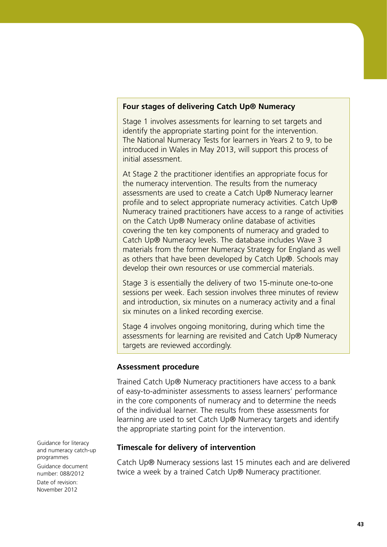#### **Four stages of delivering Catch Up® Numeracy**

Stage 1 involves assessments for learning to set targets and identify the appropriate starting point for the intervention. The National Numeracy Tests for learners in Years 2 to 9, to be introduced in Wales in May 2013, will support this process of initial assessment.

At Stage 2 the practitioner identifies an appropriate focus for the numeracy intervention. The results from the numeracy assessments are used to create a Catch Up® Numeracy learner profile and to select appropriate numeracy activities. Catch Up® Numeracy trained practitioners have access to a range of activities on the Catch Up® Numeracy online database of activities covering the ten key components of numeracy and graded to Catch Up® Numeracy levels. The database includes Wave 3 materials from the former Numeracy Strategy for England as well as others that have been developed by Catch Up®. Schools may develop their own resources or use commercial materials.

Stage 3 is essentially the delivery of two 15-minute one-to-one sessions per week. Each session involves three minutes of review and introduction, six minutes on a numeracy activity and a final six minutes on a linked recording exercise.

Stage 4 involves ongoing monitoring, during which time the assessments for learning are revisited and Catch Up® Numeracy targets are reviewed accordingly.

#### **Assessment procedure**

Trained Catch Up® Numeracy practitioners have access to a bank of easy-to-administer assessments to assess learners' performance in the core components of numeracy and to determine the needs of the individual learner. The results from these assessments for learning are used to set Catch Up® Numeracy targets and identify the appropriate starting point for the intervention.

#### **Timescale for delivery of intervention**

Catch Up® Numeracy sessions last 15 minutes each and are delivered twice a week by a trained Catch Up® Numeracy practitioner.

Guidance for literacy and numeracy catch-up programmes Guidance document number: 088/2012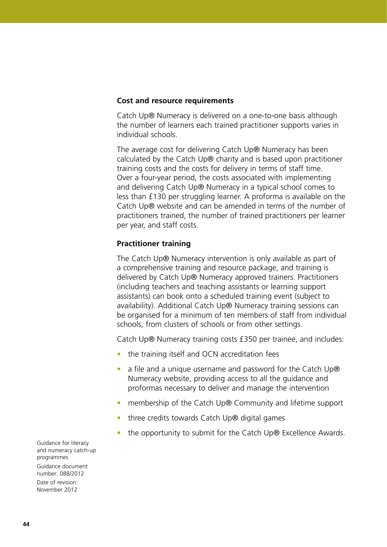#### **Cost and resource requirements**

Catch Up® Numeracy is delivered on a one-to-one basis although the number of learners each trained practitioner supports varies in individual schools.

The average cost for delivering Catch Up® Numeracy has been calculated by the Catch Up® charity and is based upon practitioner training costs and the costs for delivery in terms of staff time. Over a four-year period, the costs associated with implementing and delivering Catch Up® Numeracy in a typical school comes to less than £130 per struggling learner. A proforma is available on the Catch Up® website and can be amended in terms of the number of practitioners trained, the number of trained practitioners per learner per year, and staff costs.

### **Practitioner training**

The Catch Up® Numeracy intervention is only available as part of a comprehensive training and resource package, and training is delivered by Catch Up® Numeracy approved trainers. Practitioners (including teachers and teaching assistants or learning support assistants) can book onto a scheduled training event (subject to availability). Additional Catch Up® Numeracy training sessions can be organised for a minimum of ten members of staff from individual schools, from clusters of schools or from other settings.

Catch Up® Numeracy training costs £350 per trainee, and includes:

- the training itself and OCN accreditation fees
- a file and a unique username and password for the Catch Up® Numeracy website, providing access to all the guidance and proformas necessary to deliver and manage the intervention
- membership of the Catch Up® Community and lifetime support
- three credits towards Catch Up® digital games
- the opportunity to submit for the Catch Up® Excellence Awards.

Guidance for literacy and numeracy catch-up programmes Guidance document number: 088/2012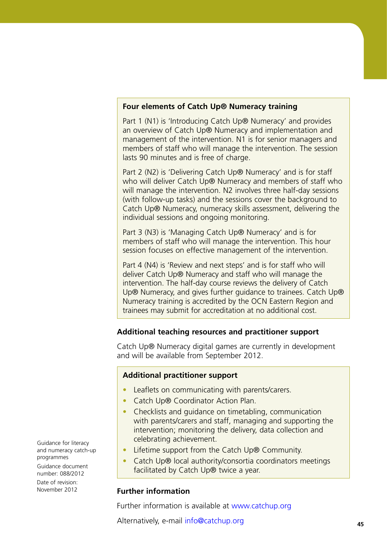#### **Four elements of Catch Up® Numeracy training**

Part 1 (N1) is 'Introducing Catch Up® Numeracy' and provides an overview of Catch Up® Numeracy and implementation and management of the intervention. N1 is for senior managers and members of staff who will manage the intervention. The session lasts 90 minutes and is free of charge.

Part 2 (N2) is 'Delivering Catch Up® Numeracy' and is for staff who will deliver Catch Up® Numeracy and members of staff who will manage the intervention. N2 involves three half-day sessions (with follow-up tasks) and the sessions cover the background to Catch Up® Numeracy, numeracy skills assessment, delivering the individual sessions and ongoing monitoring.

Part 3 (N3) is 'Managing Catch Up® Numeracy' and is for members of staff who will manage the intervention. This hour session focuses on effective management of the intervention.

Part 4 (N4) is 'Review and next steps' and is for staff who will deliver Catch Up® Numeracy and staff who will manage the intervention. The half-day course reviews the delivery of Catch Up<sup>®</sup> Numeracy, and gives further guidance to trainees. Catch Up<sup>®</sup> Numeracy training is accredited by the OCN Eastern Region and trainees may submit for accreditation at no additional cost.

# **Additional teaching resources and practitioner support**

Catch Up® Numeracy digital games are currently in development and will be available from September 2012.

#### **Additional practitioner support**

- Leaflets on communicating with parents/carers.
- Catch Up® Coordinator Action Plan.
- Checklists and quidance on timetabling, communication with parents/carers and staff, managing and supporting the intervention; monitoring the delivery, data collection and celebrating achievement.
- Lifetime support from the Catch Up® Community.
- Catch Up® local authority/consortia coordinators meetings facilitated by Catch Up® twice a year.

#### **Further information**

Further information is available at<www.catchup.org>

Alternatively, e-mail info@catchup.org

Guidance for literacy and numeracy catch-up programmes Guidance document

number: 088/2012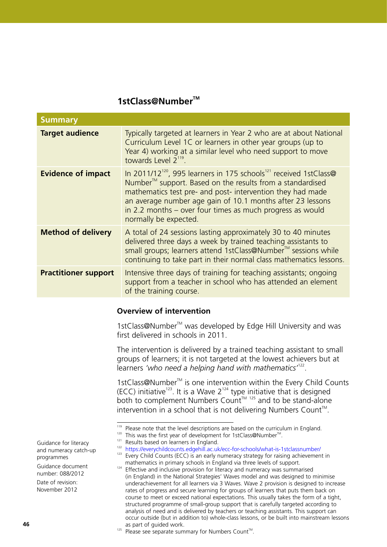# **1stClass@NumberTM**

| <b>Summary</b>                                                                                                                                                                                                         |                                                                                                                                                                                                                                                                                                                                                                                      |
|------------------------------------------------------------------------------------------------------------------------------------------------------------------------------------------------------------------------|--------------------------------------------------------------------------------------------------------------------------------------------------------------------------------------------------------------------------------------------------------------------------------------------------------------------------------------------------------------------------------------|
| <b>Target audience</b>                                                                                                                                                                                                 | Typically targeted at learners in Year 2 who are at about National<br>Curriculum Level 1C or learners in other year groups (up to<br>Year 4) working at a similar level who need support to move<br>towards Level $2^{119}$ .                                                                                                                                                        |
| <b>Evidence of impact</b>                                                                                                                                                                                              | In 2011/12 <sup>120</sup> , 995 learners in 175 schools <sup>121</sup> received 1stClass@<br>Number <sup>™</sup> support. Based on the results from a standardised<br>mathematics test pre- and post- intervention they had made<br>an average number age gain of 10.1 months after 23 lessons<br>in 2.2 months – over four times as much progress as would<br>normally be expected. |
| <b>Method of delivery</b>                                                                                                                                                                                              | A total of 24 sessions lasting approximately 30 to 40 minutes<br>delivered three days a week by trained teaching assistants to<br>small groups; learners attend 1stClass@Number™ sessions while<br>continuing to take part in their normal class mathematics lessons.                                                                                                                |
| <b>Practitioner support</b>                                                                                                                                                                                            | Intensive three days of training for teaching assistants; ongoing<br>support from a teacher in school who has attended an element<br>of the training course.                                                                                                                                                                                                                         |
|                                                                                                                                                                                                                        | <b>Overview of intervention</b>                                                                                                                                                                                                                                                                                                                                                      |
|                                                                                                                                                                                                                        | 1stClass@Number <sup>™</sup> was developed by Edge Hill University and was<br>first delivered in schools in 2011.                                                                                                                                                                                                                                                                    |
| The intervention is delivered by a trained teaching assistant to small<br>groups of learners; it is not targeted at the lowest achievers but at<br>learners 'who need a helping hand with mathematics <sup>122</sup> . |                                                                                                                                                                                                                                                                                                                                                                                      |
|                                                                                                                                                                                                                        | 1stClass@Number <sup>™</sup> is one intervention within the Every Child Counts<br>(ECC) initiative <sup>123</sup> . It is a Wave $2^{124}$ type initiative that is designed<br>both to complement Numbers Count™ 125 and to be stand-alone<br>intervention in a school that is not delivering Numbers Count <sup><math>m</math></sup> .                                              |
|                                                                                                                                                                                                                        | <sup>119</sup> Please note that the level descriptions are based on the curriculum in England.<br><sup>120</sup> This was the first year of development for 1stClass@Number <sup>™</sup> .                                                                                                                                                                                           |

<sup>&</sup>lt;sup>121</sup> Results based on learners in England.

mathematics in primary schools in England via three levels of support.  $124$  Effective and inclusive provision for literacy and numeracy was summarised

Guidance for literacy

number: 088/2012 Date of revision:

November 2012

<sup>&</sup>lt;sup>122</sup> <https://everychildcounts.edgehill.ac.uk/ecc-for-schools/what-is-1stclassnumber/> <sup>123</sup> Every Child Counts (ECC) is an early numeracy strategy for raising achievement in

<sup>(</sup>in England) in the National Strategies' Waves model and was designed to minimise underachievement for all learners via 3 Waves. Wave 2 provision is designed to increase rates of progress and secure learning for groups of learners that puts them back on course to meet or exceed national expectations. This usually takes the form of a tight, structured programme of small-group support that is carefully targeted according to analysis of need and is delivered by teachers or teaching assistants. This support can occur outside (but in addition to) whole-class lessons, or be built into mainstream lessons as part of guided work.

and numeracy catch-up programmes Guidance document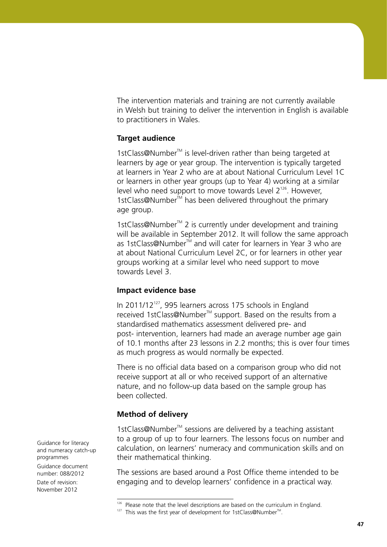The intervention materials and training are not currently available in Welsh but training to deliver the intervention in English is available to practitioners in Wales.

#### **Target audience**

1stClass@Number<sup>™</sup> is level-driven rather than being targeted at learners by age or year group. The intervention is typically targeted at learners in Year 2 who are at about National Curriculum Level 1C or learners in other year groups (up to Year 4) working at a similar level who need support to move towards Level  $2^{126}$ . However, 1stClass@Number<sup>™</sup> has been delivered throughout the primary age group.

1stClass@Number<sup>™</sup> 2 is currently under development and training will be available in September 2012. It will follow the same approach as 1stClass@Number<sup>™</sup> and will cater for learners in Year 3 who are at about National Curriculum Level 2C, or for learners in other year groups working at a similar level who need support to move towards Level 3.

#### **Impact evidence base**

In 2011/12 $^{127}$ , 995 learners across 175 schools in England received 1stClass@Number<sup>™</sup> support. Based on the results from a standardised mathematics assessment delivered pre- and post- intervention, learners had made an average number age gain of 10.1 months after 23 lessons in 2.2 months; this is over four times as much progress as would normally be expected.

There is no official data based on a comparison group who did not receive support at all or who received support of an alternative nature, and no follow-up data based on the sample group has been collected.

#### **Method of delivery**

1stClass@Number<sup>™</sup> sessions are delivered by a teaching assistant to a group of up to four learners. The lessons focus on number and calculation, on learners' numeracy and communication skills and on their mathematical thinking.

The sessions are based around a Post Office theme intended to be engaging and to develop learners' confidence in a practical way.

Guidance for literacy and numeracy catch-up programmes Guidance document number: 088/2012

<sup>&</sup>lt;sup>126</sup> Please note that the level descriptions are based on the curriculum in England.

 $127$  This was the first year of development for 1stClass@Number<sup>TM</sup>.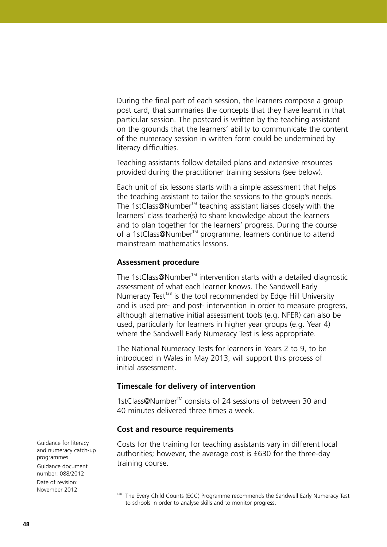During the final part of each session, the learners compose a group post card, that summaries the concepts that they have learnt in that particular session. The postcard is written by the teaching assistant on the grounds that the learners' ability to communicate the content of the numeracy session in written form could be undermined by literacy difficulties.

Teaching assistants follow detailed plans and extensive resources provided during the practitioner training sessions (see below).

Each unit of six lessons starts with a simple assessment that helps the teaching assistant to tailor the sessions to the group's needs. The 1stClass@Number<sup>™</sup> teaching assistant liaises closely with the learners' class teacher(s) to share knowledge about the learners and to plan together for the learners' progress. During the course of a 1stClass@Number<sup>™</sup> programme, learners continue to attend mainstream mathematics lessons.

#### **Assessment procedure**

The 1stClass@Number<sup>™</sup> intervention starts with a detailed diagnostic assessment of what each learner knows. The Sandwell Early Numeracy Test<sup>128</sup> is the tool recommended by Edge Hill University and is used pre- and post- intervention in order to measure progress, although alternative initial assessment tools (e.g. NFER) can also be used, particularly for learners in higher year groups (e.g. Year 4) where the Sandwell Early Numeracy Test is less appropriate.

The National Numeracy Tests for learners in Years 2 to 9, to be introduced in Wales in May 2013, will support this process of initial assessment.

#### **Timescale for delivery of intervention**

1stClass@Number<sup>™</sup> consists of 24 sessions of between 30 and 40 minutes delivered three times a week.

#### **Cost and resource requirements**

Costs for the training for teaching assistants vary in different local authorities; however, the average cost is £630 for the three-day training course.

Guidance for literacy and numeracy catch-up programmes Guidance document number: 088/2012

<sup>&</sup>lt;sup>128</sup> The Every Child Counts (ECC) Programme recommends the Sandwell Early Numeracy Test to schools in order to analyse skills and to monitor progress.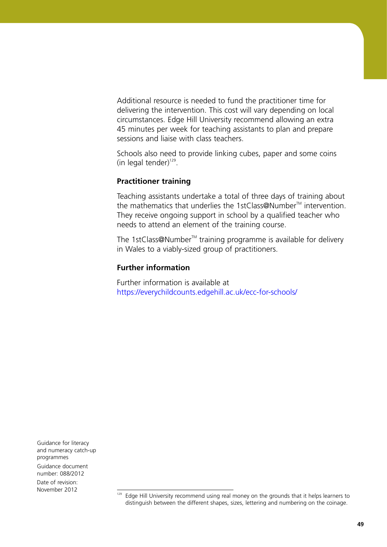Additional resource is needed to fund the practitioner time for delivering the intervention. This cost will vary depending on local circumstances. Edge Hill University recommend allowing an extra 45 minutes per week for teaching assistants to plan and prepare sessions and liaise with class teachers.

Schools also need to provide linking cubes, paper and some coins (in legal tender) $129$ .

# **Practitioner training**

Teaching assistants undertake a total of three days of training about the mathematics that underlies the 1stClass@Number<sup>™</sup> intervention. They receive ongoing support in school by a qualified teacher who needs to attend an element of the training course.

The 1stClass@Number<sup>™</sup> training programme is available for delivery in Wales to a viably-sized group of practitioners.

### **Further information**

Further information is available at <https://everychildcounts.edgehill.ac.uk/ecc-for-schools/>

Guidance for literacy and numeracy catch-up programmes Guidance document

number: 088/2012 Date of revision:

November 2012

<sup>129</sup> Edge Hill University recommend using real money on the grounds that it helps learners to distinguish between the different shapes, sizes, lettering and numbering on the coinage.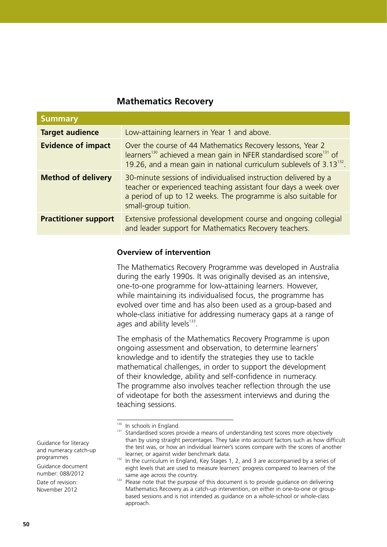# **Mathematics Recovery**

| <b>Summary</b>              |                                                                                                                                                                                                                                             |
|-----------------------------|---------------------------------------------------------------------------------------------------------------------------------------------------------------------------------------------------------------------------------------------|
| <b>Target audience</b>      | Low-attaining learners in Year 1 and above.                                                                                                                                                                                                 |
| <b>Evidence of impact</b>   | Over the course of 44 Mathematics Recovery lessons, Year 2<br>learners <sup>130</sup> achieved a mean gain in NFER standardised score <sup>131</sup> of<br>19.26, and a mean gain in national curriculum sublevels of 3.13 <sup>132</sup> . |
| <b>Method of delivery</b>   | 30-minute sessions of individualised instruction delivered by a<br>teacher or experienced teaching assistant four days a week over<br>a period of up to 12 weeks. The programme is also suitable for<br>small-group tuition.                |
| <b>Practitioner support</b> | Extensive professional development course and ongoing collegial<br>and leader support for Mathematics Recovery teachers.                                                                                                                    |

#### **Overview of intervention**

The Mathematics Recovery Programme was developed in Australia during the early 1990s. It was originally devised as an intensive, one-to-one programme for low-attaining learners. However, while maintaining its individualised focus, the programme has evolved over time and has also been used as a group-based and whole-class initiative for addressing numeracy gaps at a range of ages and ability levels $133$ .

The emphasis of the Mathematics Recovery Programme is upon ongoing assessment and observation, to determine learners' knowledge and to identify the strategies they use to tackle mathematical challenges, in order to support the development of their knowledge, ability and self-confidence in numeracy. The programme also involves teacher reflection through the use of videotape for both the assessment interviews and during the teaching sessions.

Guidance for literacy and numeracy catch-up programmes

Guidance document number: 088/2012

<sup>&</sup>lt;sup>130</sup> In schools in England.

<sup>&</sup>lt;sup>131</sup> Standardised scores provide a means of understanding test scores more objectively than by using straight percentages. They take into account factors such as how difficult the test was, or how an individual learner's scores compare with the scores of another learner, or against wider benchmark data.

 $132$  In the curriculum in England, Key Stages 1, 2, and 3 are accompanied by a series of eight levels that are used to measure learners' progress compared to learners of the same age across the country.

<sup>&</sup>lt;sup>133</sup> Please note that the purpose of this document is to provide guidance on delivering Mathematics Recovery as a catch-up intervention, on either in one-to-one or groupbased sessions and is not intended as guidance on a whole-school or whole-class approach.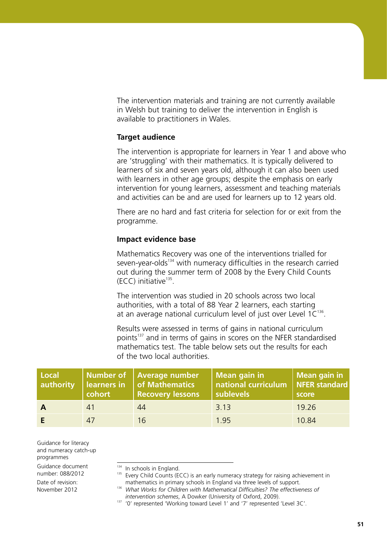The intervention materials and training are not currently available in Welsh but training to deliver the intervention in English is available to practitioners in Wales.

#### **Target audience**

The intervention is appropriate for learners in Year 1 and above who are 'struggling' with their mathematics. It is typically delivered to learners of six and seven years old, although it can also been used with learners in other age groups; despite the emphasis on early intervention for young learners, assessment and teaching materials and activities can be and are used for learners up to 12 years old.

There are no hard and fast criteria for selection for or exit from the programme.

#### **Impact evidence base**

Mathematics Recovery was one of the interventions trialled for seven-year-olds<sup>134</sup> with numeracy difficulties in the research carried out during the summer term of 2008 by the Every Child Counts  $(ECC)$  initiative<sup>135</sup>.

The intervention was studied in 20 schools across two local authorities, with a total of 88 Year 2 learners, each starting at an average national curriculum level of just over Level  $1C^{136}$ .

Results were assessed in terms of gains in national curriculum points<sup>137</sup> and in terms of gains in scores on the NFER standardised mathematics test. The table below sets out the results for each of the two local authorities.

| Local<br>authority | cohort | Number of Average number<br><b>learners in of Mathematics</b><br><b>Recovery lessons</b> | Mean gain in<br>national curriculum   NFER standard<br>sublevels | Mean gain in<br>score |
|--------------------|--------|------------------------------------------------------------------------------------------|------------------------------------------------------------------|-----------------------|
|                    | 41     | 44                                                                                       | 3.13                                                             | 19.26                 |
|                    | 47     |                                                                                          | 1 95                                                             | 10.84                 |

Guidance for literacy and numeracy catch-up programmes

Guidance document number: 088/2012

- <sup>134</sup> In schools in England.
- <sup>135</sup> Every Child Counts (ECC) is an early numeracy strategy for raising achievement in mathematics in primary schools in England via three levels of support.
- 136 *What Works for Children with Mathematical Difficulties? The effectiveness of intervention schemes*, A Dowker (University of Oxford, 2009).

<sup>137 &#</sup>x27;0' represented 'Working toward Level 1' and '7' represented 'Level 3C'.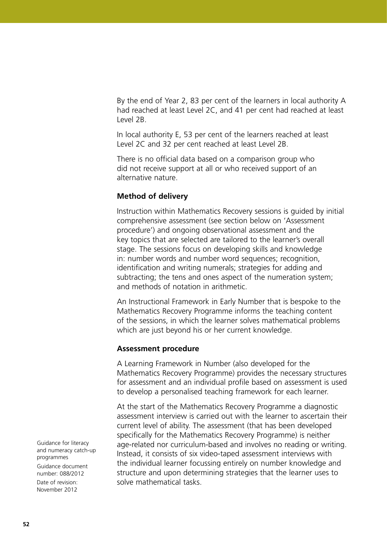By the end of Year 2, 83 per cent of the learners in local authority A had reached at least Level 2C, and 41 per cent had reached at least Level 2B.

In local authority E, 53 per cent of the learners reached at least Level 2C and 32 per cent reached at least Level 2B.

There is no official data based on a comparison group who did not receive support at all or who received support of an alternative nature.

#### **Method of delivery**

Instruction within Mathematics Recovery sessions is guided by initial comprehensive assessment (see section below on 'Assessment procedure') and ongoing observational assessment and the key topics that are selected are tailored to the learner's overall stage. The sessions focus on developing skills and knowledge in: number words and number word sequences; recognition, identification and writing numerals; strategies for adding and subtracting; the tens and ones aspect of the numeration system; and methods of notation in arithmetic.

An Instructional Framework in Early Number that is bespoke to the Mathematics Recovery Programme informs the teaching content of the sessions, in which the learner solves mathematical problems which are just beyond his or her current knowledge.

#### **Assessment procedure**

A Learning Framework in Number (also developed for the Mathematics Recovery Programme) provides the necessary structures for assessment and an individual profile based on assessment is used to develop a personalised teaching framework for each learner.

At the start of the Mathematics Recovery Programme a diagnostic assessment interview is carried out with the learner to ascertain their current level of ability. The assessment (that has been developed specifically for the Mathematics Recovery Programme) is neither age-related nor curriculum-based and involves no reading or writing. Instead, it consists of six video-taped assessment interviews with the individual learner focussing entirely on number knowledge and structure and upon determining strategies that the learner uses to solve mathematical tasks.

Guidance for literacy and numeracy catch-up programmes Guidance document number: 088/2012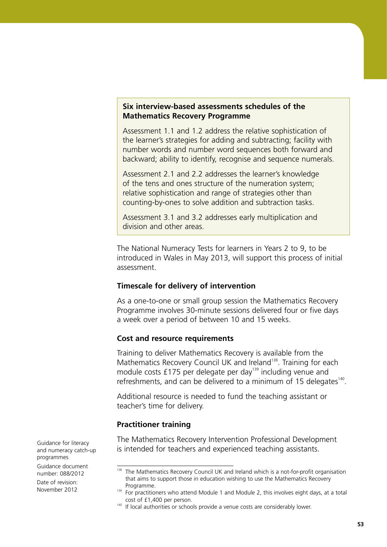#### **Six interview-based assessments schedules of the Mathematics Recovery Programme**

Assessment 1.1 and 1.2 address the relative sophistication of the learner's strategies for adding and subtracting; facility with number words and number word sequences both forward and backward; ability to identify, recognise and sequence numerals.

Assessment 2.1 and 2.2 addresses the learner's knowledge of the tens and ones structure of the numeration system; relative sophistication and range of strategies other than counting-by-ones to solve addition and subtraction tasks.

Assessment 3.1 and 3.2 addresses early multiplication and division and other areas.

The National Numeracy Tests for learners in Years 2 to 9, to be introduced in Wales in May 2013, will support this process of initial assessment.

#### **Timescale for delivery of intervention**

As a one-to-one or small group session the Mathematics Recovery Programme involves 30-minute sessions delivered four or five days a week over a period of between 10 and 15 weeks.

#### **Cost and resource requirements**

Training to deliver Mathematics Recovery is available from the Mathematics Recovery Council UK and Ireland<sup>138</sup>. Training for each module costs £175 per delegate per day<sup>139</sup> including venue and refreshments, and can be delivered to a minimum of 15 delegates<sup>140</sup>.

Additional resource is needed to fund the teaching assistant or teacher's time for delivery.

#### **Practitioner training**

The Mathematics Recovery Intervention Professional Development is intended for teachers and experienced teaching assistants.

Guidance for literacy and numeracy catch-up programmes

Guidance document number: 088/2012

<sup>&</sup>lt;sup>138</sup> The Mathematics Recovery Council UK and Ireland which is a not-for-profit organisation that aims to support those in education wishing to use the Mathematics Recovery Programme.

<sup>&</sup>lt;sup>139</sup> For practitioners who attend Module 1 and Module 2, this involves eight days, at a total cost of £1,400 per person.

 $140$  If local authorities or schools provide a venue costs are considerably lower.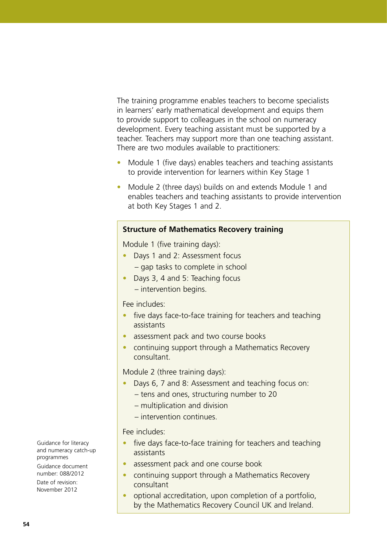The training programme enables teachers to become specialists in learners' early mathematical development and equips them to provide support to colleagues in the school on numeracy development. Every teaching assistant must be supported by a teacher. Teachers may support more than one teaching assistant. There are two modules available to practitioners:

- Module 1 (five days) enables teachers and teaching assistants to provide intervention for learners within Key Stage 1
- Module 2 (three days) builds on and extends Module 1 and enables teachers and teaching assistants to provide intervention at both Key Stages 1 and 2.

#### **Structure of Mathematics Recovery training**

Module 1 (five training days):

- Days 1 and 2: Assessment focus
	- gap tasks to complete in school
- Days 3, 4 and 5: Teaching focus – intervention begins.

#### Fee includes:

- five days face-to-face training for teachers and teaching assistants
- assessment pack and two course books
- continuing support through a Mathematics Recovery consultant.

Module 2 (three training days):

- Days 6, 7 and 8: Assessment and teaching focus on:
	- tens and ones, structuring number to 20
	- multiplication and division
	- intervention continues.

#### Fee includes:

- five days face-to-face training for teachers and teaching assistants
- assessment pack and one course book
- continuing support through a Mathematics Recovery consultant
- optional accreditation, upon completion of a portfolio, by the Mathematics Recovery Council UK and Ireland.

Guidance for literacy and numeracy catch-up programmes Guidance document

number: 088/2012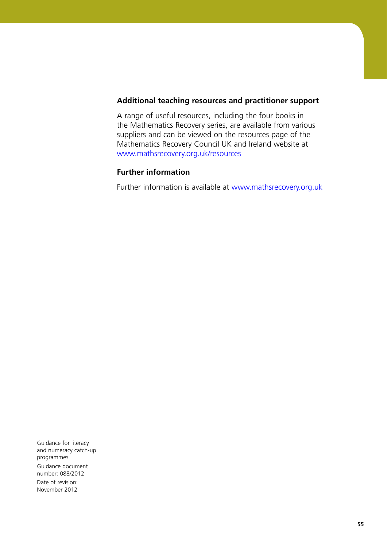#### **Additional teaching resources and practitioner support**

A range of useful resources, including the four books in the Mathematics Recovery series, are available from various suppliers and can be viewed on the resources page of the Mathematics Recovery Council UK and Ireland website at <www.mathsrecovery.org.uk/resources>

### **Further information**

Further information is available at<www.mathsrecovery.org.uk>

Guidance for literacy and numeracy catch-up programmes Guidance document number: 088/2012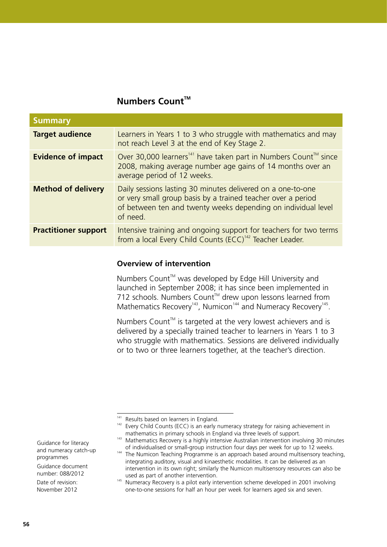# **Numbers Count™**

| <b>Summary</b>              |                                                                                                                                                                                                          |
|-----------------------------|----------------------------------------------------------------------------------------------------------------------------------------------------------------------------------------------------------|
| <b>Target audience</b>      | Learners in Years 1 to 3 who struggle with mathematics and may<br>not reach Level 3 at the end of Key Stage 2.                                                                                           |
| <b>Evidence of impact</b>   | Over 30,000 learners <sup>141</sup> have taken part in Numbers Count <sup>™</sup> since<br>2008, making average number age gains of 14 months over an<br>average period of 12 weeks.                     |
| <b>Method of delivery</b>   | Daily sessions lasting 30 minutes delivered on a one-to-one<br>or very small group basis by a trained teacher over a period<br>of between ten and twenty weeks depending on individual level<br>of need. |
| <b>Practitioner support</b> | Intensive training and ongoing support for teachers for two terms<br>from a local Every Child Counts (ECC) <sup>142</sup> Teacher Leader.                                                                |

#### **Overview of intervention**

Numbers Count<sup>™</sup> was developed by Edge Hill University and launched in September 2008; it has since been implemented in 712 schools. Numbers Count<sup> $M$ </sup> drew upon lessons learned from Mathematics Recovery<sup>143</sup>, Numicon<sup>144</sup> and Numeracy Recovery<sup>145</sup>.

Numbers Count<sup>™</sup> is targeted at the very lowest achievers and is delivered by a specially trained teacher to learners in Years 1 to 3 who struggle with mathematics. Sessions are delivered individually or to two or three learners together, at the teacher's direction.

Guidance for literacy and numeracy catch-up programmes

Guidance document number: 088/2012

<sup>&</sup>lt;sup>141</sup> Results based on learners in England.

 $142$  Every Child Counts (ECC) is an early numeracy strategy for raising achievement in mathematics in primary schools in England via three levels of support.

<sup>&</sup>lt;sup>143</sup> Mathematics Recovery is a highly intensive Australian intervention involving 30 minutes of individualised or small-group instruction four days per week for up to 12 weeks.

<sup>&</sup>lt;sup>144</sup> The Numicon Teaching Programme is an approach based around multisensory teaching, integrating auditory, visual and kinaesthetic modalities. It can be delivered as an intervention in its own right; similarly the Numicon multisensory resources can also be used as part of another intervention.

<sup>&</sup>lt;sup>145</sup> Numeracy Recovery is a pilot early intervention scheme developed in 2001 involving one-to-one sessions for half an hour per week for learners aged six and seven.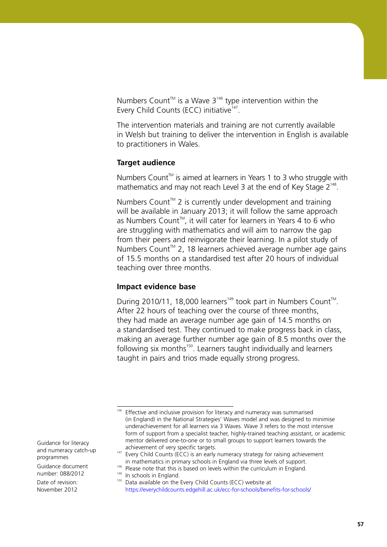Numbers Count<sup> $M$ </sup> is a Wave 3<sup>146</sup> type intervention within the Every Child Counts (ECC) initiative<sup>147</sup>.

The intervention materials and training are not currently available in Welsh but training to deliver the intervention in English is available to practitioners in Wales.

#### **Target audience**

Numbers Count<sup>™</sup> is aimed at learners in Years 1 to 3 who struggle with mathematics and may not reach Level 3 at the end of Key Stage  $2^{148}$ .

Numbers Count<sup> $M$ </sup> 2 is currently under development and training will be available in January 2013; it will follow the same approach as Numbers Count<sup>™</sup>, it will cater for learners in Years 4 to 6 who are struggling with mathematics and will aim to narrow the gap from their peers and reinvigorate their learning. In a pilot study of Numbers Count<sup>™</sup> 2, 18 learners achieved average number age gains of 15.5 months on a standardised test after 20 hours of individual teaching over three months.

#### **Impact evidence base**

During 2010/11, 18,000 learners<sup>149</sup> took part in Numbers Count<sup>M</sup>. After 22 hours of teaching over the course of three months, they had made an average number age gain of 14.5 months on a standardised test. They continued to make progress back in class, making an average further number age gain of 8.5 months over the following six months<sup>150</sup>. Learners taught individually and learners taught in pairs and trios made equally strong progress.

Guidance for literacy and numeracy catch-up programmes

Guidance document number: 088/2012

<sup>&</sup>lt;sup>146</sup> Effective and inclusive provision for literacy and numeracy was summarised (in England) in the National Strategies' Waves model and was designed to minimise underachievement for all learners via 3 Waves. Wave 3 refers to the most intensive form of support from a specialist teacher, highly-trained teaching assistant, or academic mentor delivered one-to-one or to small groups to support learners towards the achievement of very specific targets.

 $147$  Every Child Counts (ECC) is an early numeracy strategy for raising achievement in mathematics in primary schools in England via three levels of support.

<sup>&</sup>lt;sup>148</sup> Please note that this is based on levels within the curriculum in England.

<sup>&</sup>lt;sup>149</sup> In schools in England.

<sup>150</sup> Data available on the Every Child Counts (ECC) website at <https://everychildcounts.edgehill.ac.uk/ecc-for-schools/benefits-for-schools/>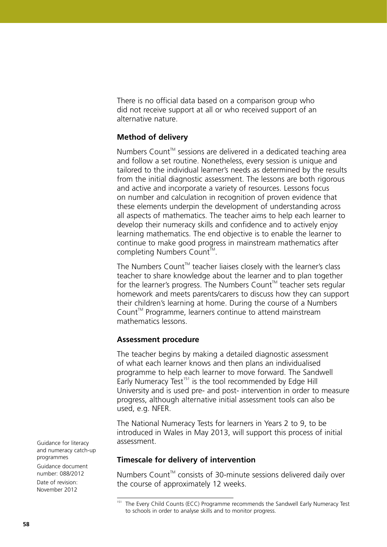There is no official data based on a comparison group who did not receive support at all or who received support of an alternative nature.

#### **Method of delivery**

Numbers Count<sup>™</sup> sessions are delivered in a dedicated teaching area and follow a set routine. Nonetheless, every session is unique and tailored to the individual learner's needs as determined by the results from the initial diagnostic assessment. The lessons are both rigorous and active and incorporate a variety of resources. Lessons focus on number and calculation in recognition of proven evidence that these elements underpin the development of understanding across all aspects of mathematics. The teacher aims to help each learner to develop their numeracy skills and confidence and to actively enjoy learning mathematics. The end objective is to enable the learner to continue to make good progress in mainstream mathematics after completing Numbers Count™.

The Numbers Count<sup>™</sup> teacher liaises closely with the learner's class teacher to share knowledge about the learner and to plan together for the learner's progress. The Numbers Count<sup> $M$ </sup> teacher sets regular homework and meets parents/carers to discuss how they can support their children's learning at home. During the course of a Numbers  $Count^M$  Programme, learners continue to attend mainstream mathematics lessons.

#### **Assessment procedure**

The teacher begins by making a detailed diagnostic assessment of what each learner knows and then plans an individualised programme to help each learner to move forward. The Sandwell Early Numeracy Test<sup>151</sup> is the tool recommended by Edge Hill University and is used pre- and post- intervention in order to measure progress, although alternative initial assessment tools can also be used, e.g. NFER.

The National Numeracy Tests for learners in Years 2 to 9, to be introduced in Wales in May 2013, will support this process of initial assessment.

#### **Timescale for delivery of intervention**

Numbers Count<sup>™</sup> consists of 30-minute sessions delivered daily over the course of approximately 12 weeks.

Guidance for literacy and numeracy catch-up programmes Guidance document number: 088/2012 Date of revision:

November 2012

<sup>151</sup> The Every Child Counts (ECC) Programme recommends the Sandwell Early Numeracy Test to schools in order to analyse skills and to monitor progress.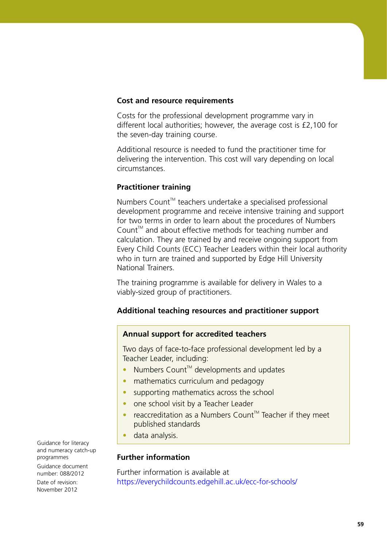#### **Cost and resource requirements**

Costs for the professional development programme vary in different local authorities; however, the average cost is £2,100 for the seven-day training course.

Additional resource is needed to fund the practitioner time for delivering the intervention. This cost will vary depending on local circumstances.

#### **Practitioner training**

Numbers Count™ teachers undertake a specialised professional development programme and receive intensive training and support for two terms in order to learn about the procedures of Numbers Count<sup>™</sup> and about effective methods for teaching number and calculation. They are trained by and receive ongoing support from Every Child Counts (ECC) Teacher Leaders within their local authority who in turn are trained and supported by Edge Hill University National Trainers.

The training programme is available for delivery in Wales to a viably-sized group of practitioners.

# **Additional teaching resources and practitioner support**

#### **Annual support for accredited teachers**

Two days of face-to-face professional development led by a Teacher Leader, including:

- Numbers Count<sup>™</sup> developments and updates
- mathematics curriculum and pedagogy
- supporting mathematics across the school
- one school visit by a Teacher Leader
- reaccreditation as a Numbers Count<sup>™</sup> Teacher if they meet published standards
- data analysis.

#### **Further information**

Further information is available at <https://everychildcounts.edgehill.ac.uk/ecc-for-schools/>

Guidance for literacy and numeracy catch-up programmes Guidance document

number: 088/2012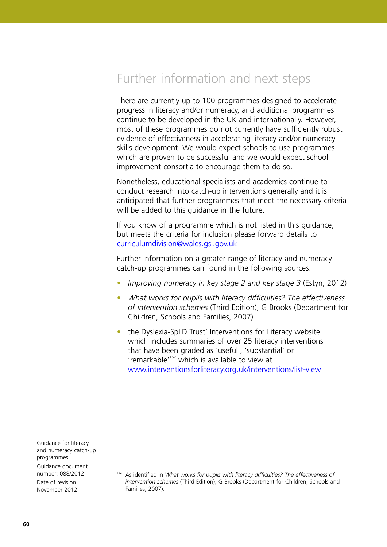# Further information and next steps

There are currently up to 100 programmes designed to accelerate progress in literacy and/or numeracy, and additional programmes continue to be developed in the UK and internationally. However, most of these programmes do not currently have sufficiently robust evidence of effectiveness in accelerating literacy and/or numeracy skills development. We would expect schools to use programmes which are proven to be successful and we would expect school improvement consortia to encourage them to do so.

Nonetheless, educational specialists and academics continue to conduct research into catch-up interventions generally and it is anticipated that further programmes that meet the necessary criteria will be added to this guidance in the future.

If you know of a programme which is not listed in this guidance, but meets the criteria for inclusion please forward details to curriculumdivision@wales.gsi.gov.uk

Further information on a greater range of literacy and numeracy catch-up programmes can found in the following sources:

- *Improving numeracy in key stage 2 and key stage 3* (Estyn, 2012)
- *What works for pupils with literacy difficulties? The effectiveness of intervention schemes* (Third Edition), G Brooks (Department for Children, Schools and Families, 2007)
- the Dyslexia-SpLD Trust' Interventions for Literacy website which includes summaries of over 25 literacy interventions that have been graded as 'useful', 'substantial' or 'remarkable'152 which is available to view at <www.interventionsforliteracy.org.uk/interventions/list-view>

Guidance for literacy and numeracy catch-up programmes Guidance document

number: 088/2012 Date of revision:

November 2012

<sup>152</sup> As identified in *What works for pupils with literacy difficulties? The effectiveness of intervention schemes* (Third Edition), G Brooks (Department for Children, Schools and Families, 2007).